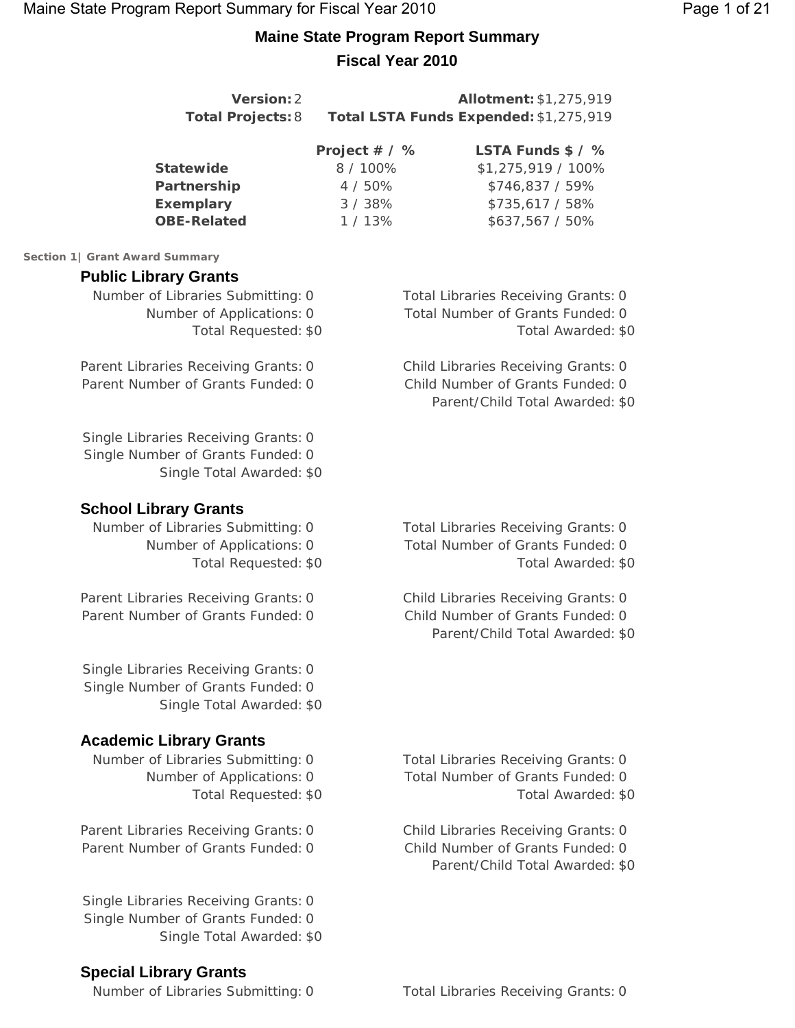# **Maine State Program Report Summary Fiscal Year 2010**

| <b>Version: 2</b><br><b>Total Projects: 8</b> |                  | <b>Allotment: \$1,275,919</b><br>Total LSTA Funds Expended: \$1,275,919 |
|-----------------------------------------------|------------------|-------------------------------------------------------------------------|
|                                               | Project $# / \%$ | LSTA Funds $$/$ %                                                       |
| <b>Statewide</b>                              | 8 / 100%         | $$1,275,919/100\%$                                                      |
| Partnership                                   | 4 / 50%          | \$746,837 / 59%                                                         |
| <b>Exemplary</b>                              | 3/38%            | $$735,617 / 58\%$                                                       |
| <b>OBE-Related</b>                            | 1/13%            | $$637,567 / 50\%$                                                       |
| Section 1   Grant Award Summary               |                  |                                                                         |
| <b>Public Library Grants</b>                  |                  |                                                                         |
| Number of Libraries Submitting: 0             |                  | Total Libraries Receiving Grants: 0                                     |
| Number of Applications: 0                     |                  | Total Number of Grants Funded: 0                                        |
| Total Requested: \$0                          |                  | Total Awarded: \$0                                                      |
| Parent Libraries Receiving Grants: 0          |                  | Child Libraries Receiving Grants: 0                                     |
| Parent Number of Grants Funded: 0             |                  | Child Number of Grants Funded: 0                                        |

Single Libraries Receiving Grants: 0 Single Number of Grants Funded: 0

Single Total Awarded: \$0

## **School Library Grants**

Number of Libraries Submitting: 0 Total Libraries Receiving Grants: 0

Parent Number of Grants Funded: 0 Child Number of Grants Funded: 0

Single Libraries Receiving Grants: 0 Single Number of Grants Funded: 0 Single Total Awarded: \$0

## **Academic Library Grants**

Number of Libraries Submitting: 0 Total Libraries Receiving Grants: 0

Parent Libraries Receiving Grants: 0 Child Libraries Receiving Grants: 0 Parent Number of Grants Funded: 0 Child Number of Grants Funded: 0

Single Libraries Receiving Grants: 0 Single Number of Grants Funded: 0 Single Total Awarded: \$0

Number of Applications: 0 Total Number of Grants Funded: 0 Total Requested: \$0 Total Awarded: \$0

Parent/Child Total Awarded: \$0

Parent Libraries Receiving Grants: 0 Child Libraries Receiving Grants: 0 Parent/Child Total Awarded: \$0

> Number of Applications: 0 Total Number of Grants Funded: 0 Total Requested: \$0 Total Awarded: \$0

> > Parent/Child Total Awarded: \$0

**Special Library Grants**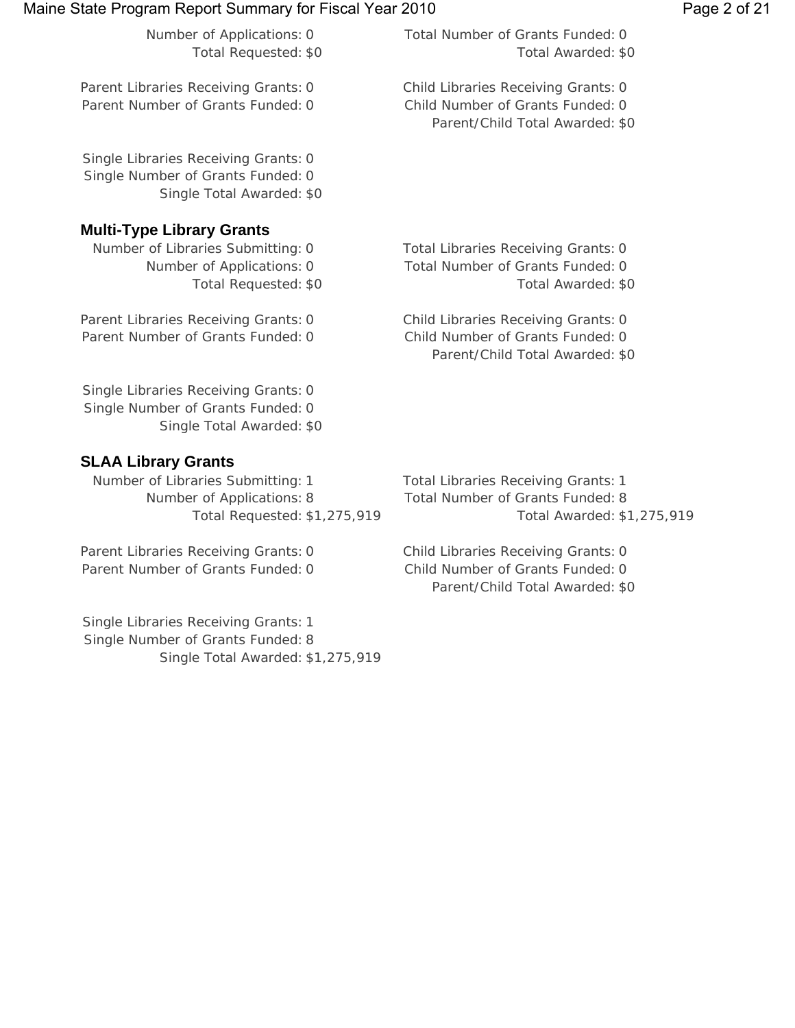| Maine State Program Report Summary for Fiscal Year 2010                                                |                                                                                                            | Page 2 of 21 |
|--------------------------------------------------------------------------------------------------------|------------------------------------------------------------------------------------------------------------|--------------|
| Number of Applications: 0<br>Total Requested: \$0                                                      | Total Number of Grants Funded: 0<br>Total Awarded: \$0                                                     |              |
| Parent Libraries Receiving Grants: 0<br>Parent Number of Grants Funded: 0                              | Child Libraries Receiving Grants: 0<br>Child Number of Grants Funded: 0<br>Parent/Child Total Awarded: \$0 |              |
| Single Libraries Receiving Grants: 0<br>Single Number of Grants Funded: 0<br>Single Total Awarded: \$0 |                                                                                                            |              |
| <b>Multi-Type Library Grants</b>                                                                       |                                                                                                            |              |
| Number of Libraries Submitting: 0                                                                      | Total Libraries Receiving Grants: 0                                                                        |              |
| Number of Applications: 0                                                                              | Total Number of Grants Funded: 0                                                                           |              |
| Total Requested: \$0                                                                                   | Total Awarded: \$0                                                                                         |              |
| Parent Libraries Receiving Grants: 0                                                                   | Child Libraries Receiving Grants: 0                                                                        |              |
| Parent Number of Grants Funded: 0                                                                      | Child Number of Grants Funded: 0                                                                           |              |
|                                                                                                        | Parent/Child Total Awarded: \$0                                                                            |              |
| Single Libraries Receiving Grants: 0                                                                   |                                                                                                            |              |

Single Number of Grants Funded: 0 Single Total Awarded: \$0

## **SLAA Library Grants**

Number of Libraries Submitting: 1 Total Libraries Receiving Grants: 1 Number of Applications: 8 Total Number of Grants Funded: 8

Parent Number of Grants Funded: 0 Child Number of Grants Funded: 0

Single Libraries Receiving Grants: 1 Single Number of Grants Funded: 8 Single Total Awarded: \$1,275,919

Total Requested: \$1,275,919 Total Awarded: \$1,275,919

Parent Libraries Receiving Grants: 0 Child Libraries Receiving Grants: 0 Parent/Child Total Awarded: \$0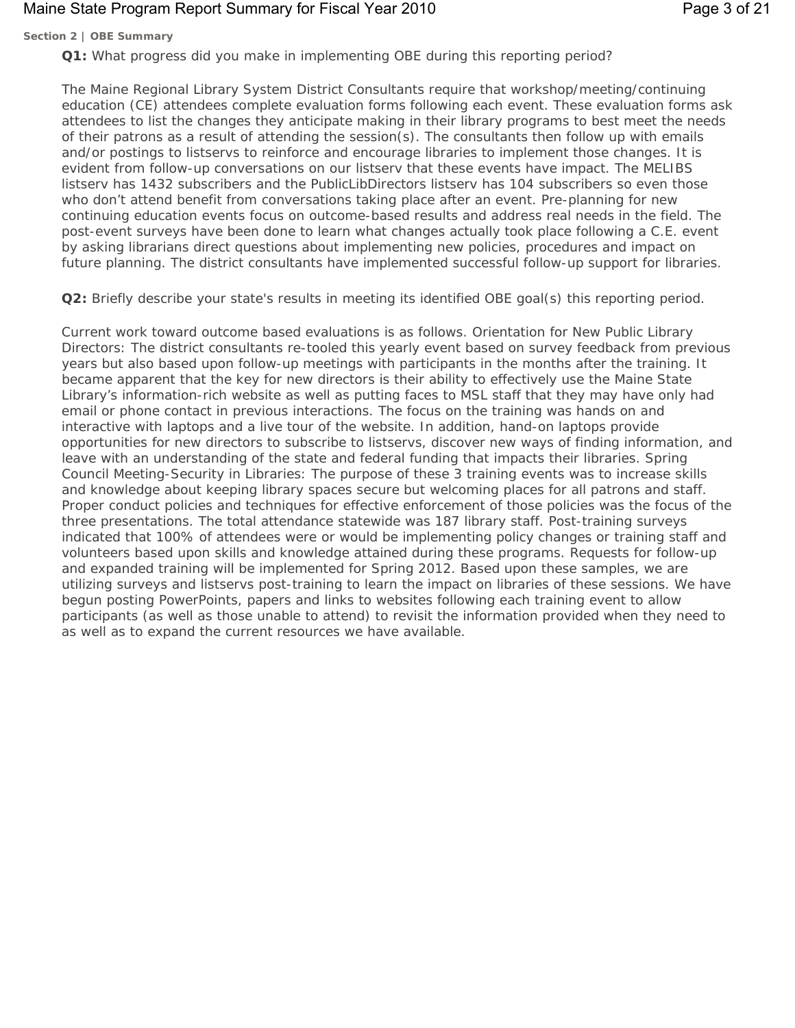## Maine State Program Report Summary for Fiscal Year 2010 **Page 3 of 21** Page 3 of 21

## **Section 2 | OBE Summary**

**Q1:** What progress did you make in implementing OBE during this reporting period?

The Maine Regional Library System District Consultants require that workshop/meeting/continuing education (CE) attendees complete evaluation forms following each event. These evaluation forms ask attendees to list the changes they anticipate making in their library programs to best meet the needs of their patrons as a result of attending the session(s). The consultants then follow up with emails and/or postings to listservs to reinforce and encourage libraries to implement those changes. It is evident from follow-up conversations on our listserv that these events have impact. The MELIBS listserv has 1432 subscribers and the PublicLibDirectors listserv has 104 subscribers so even those who don't attend benefit from conversations taking place after an event. Pre-planning for new continuing education events focus on outcome-based results and address real needs in the field. The post-event surveys have been done to learn what changes actually took place following a C.E. event by asking librarians direct questions about implementing new policies, procedures and impact on future planning. The district consultants have implemented successful follow-up support for libraries.

**Q2:** Briefly describe your state's results in meeting its identified OBE goal(s) this reporting period.

Current work toward outcome based evaluations is as follows. Orientation for New Public Library Directors: The district consultants re-tooled this yearly event based on survey feedback from previous years but also based upon follow-up meetings with participants in the months after the training. It became apparent that the key for new directors is their ability to effectively use the Maine State Library's information-rich website as well as putting faces to MSL staff that they may have only had email or phone contact in previous interactions. The focus on the training was hands on and interactive with laptops and a live tour of the website. In addition, hand-on laptops provide opportunities for new directors to subscribe to listservs, discover new ways of finding information, and leave with an understanding of the state and federal funding that impacts their libraries. Spring Council Meeting-Security in Libraries: The purpose of these 3 training events was to increase skills and knowledge about keeping library spaces secure but welcoming places for all patrons and staff. Proper conduct policies and techniques for effective enforcement of those policies was the focus of the three presentations. The total attendance statewide was 187 library staff. Post-training surveys indicated that 100% of attendees were or would be implementing policy changes or training staff and volunteers based upon skills and knowledge attained during these programs. Requests for follow-up and expanded training will be implemented for Spring 2012. Based upon these samples, we are utilizing surveys and listservs post-training to learn the impact on libraries of these sessions. We have begun posting PowerPoints, papers and links to websites following each training event to allow participants (as well as those unable to attend) to revisit the information provided when they need to as well as to expand the current resources we have available.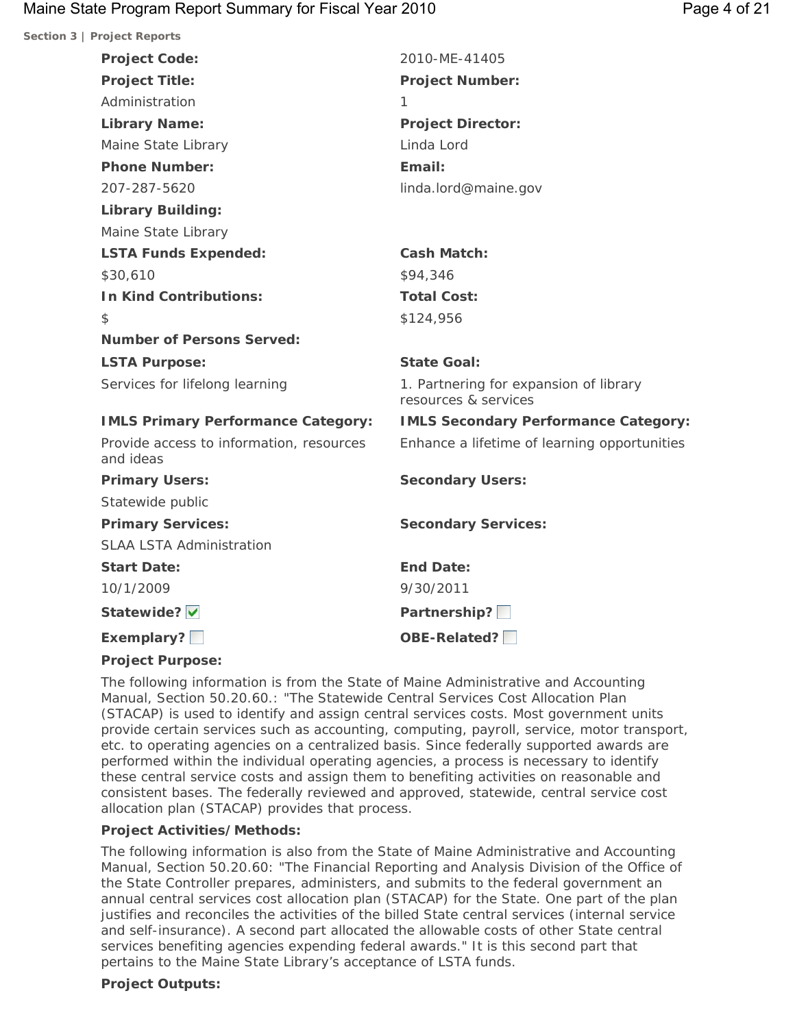## Maine State Program Report Summary for Fiscal Year 2010 **Page 4 of 21** Page 4 of 21

**Section 3** 

| <b>Project Reports</b>                                |                                                                |
|-------------------------------------------------------|----------------------------------------------------------------|
| <b>Project Code:</b>                                  | 2010-ME-41405                                                  |
| <b>Project Title:</b>                                 | <b>Project Number:</b>                                         |
| Administration                                        | 1.                                                             |
| <b>Library Name:</b>                                  | <b>Project Director:</b>                                       |
| Maine State Library                                   | Linda Lord                                                     |
| <b>Phone Number:</b>                                  | Email:                                                         |
| 207-287-5620                                          | linda.lord@maine.gov                                           |
| <b>Library Building:</b>                              |                                                                |
| Maine State Library                                   |                                                                |
| <b>LSTA Funds Expended:</b>                           | <b>Cash Match:</b>                                             |
| \$30,610                                              | \$94,346                                                       |
| <b>In Kind Contributions:</b>                         | <b>Total Cost:</b>                                             |
| $\mathcal{L}$                                         | \$124,956                                                      |
| <b>Number of Persons Served:</b>                      |                                                                |
| <b>LSTA Purpose:</b>                                  | State Goal:                                                    |
| Services for lifelong learning                        | 1. Partnering for expansion of library<br>resources & services |
| <b>IMLS Primary Performance Category:</b>             | <b>IMLS Secondary Performance Category:</b>                    |
| Provide access to information, resources<br>and ideas | Enhance a lifetime of learning opportunities                   |
| <b>Primary Users:</b>                                 | <b>Secondary Users:</b>                                        |
| Statewide public                                      |                                                                |
| <b>Primary Services:</b>                              | <b>Secondary Services:</b>                                     |
| <b>SLAA LSTA Administration</b>                       |                                                                |
| <b>Start Date:</b>                                    | <b>End Date:</b>                                               |
| 10/1/2009                                             | 9/30/2011                                                      |
| Statewide?                                            | Partnership?                                                   |
| Exemplary?                                            | OBE-Related?                                                   |
| <b>Project Purpose:</b>                               |                                                                |

The following information is from the State of Maine Administrative and Accounting Manual, Section 50.20.60.: "The Statewide Central Services Cost Allocation Plan (STACAP) is used to identify and assign central services costs. Most government units provide certain services such as accounting, computing, payroll, service, motor transport, etc. to operating agencies on a centralized basis. Since federally supported awards are performed within the individual operating agencies, a process is necessary to identify these central service costs and assign them to benefiting activities on reasonable and consistent bases. The federally reviewed and approved, statewide, central service cost allocation plan (STACAP) provides that process.

## **Project Activities/Methods:**

The following information is also from the State of Maine Administrative and Accounting Manual, Section 50.20.60: "The Financial Reporting and Analysis Division of the Office of the State Controller prepares, administers, and submits to the federal government an annual central services cost allocation plan (STACAP) for the State. One part of the plan justifies and reconciles the activities of the billed State central services (internal service and self-insurance). A second part allocated the allowable costs of other State central services benefiting agencies expending federal awards." It is this second part that pertains to the Maine State Library's acceptance of LSTA funds.

## **Project Outputs:**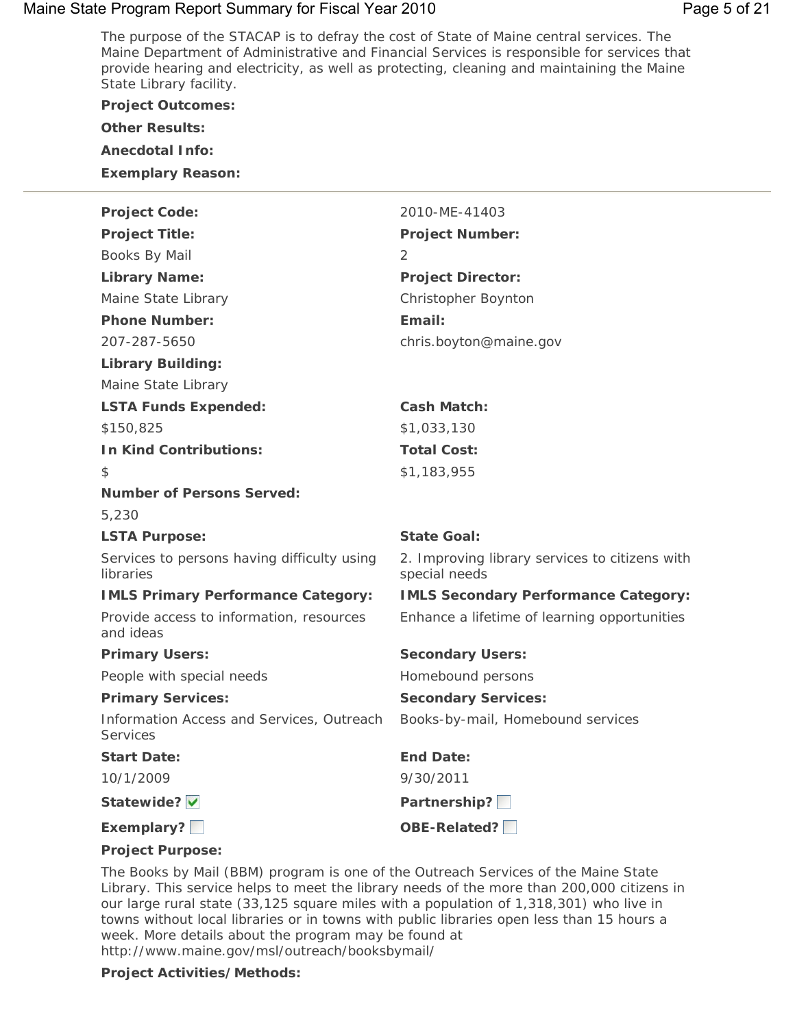## Maine State Program Report Summary for Fiscal Year 2010 **Page 5 of 21** Page 5 of 21

The purpose of the STACAP is to defray the cost of State of Maine central services. The Maine Department of Administrative and Financial Services is responsible for services that provide hearing and electricity, as well as protecting, cleaning and maintaining the Maine State Library facility.

| <b>Project Outcomes:</b>                                     |                                                                 |
|--------------------------------------------------------------|-----------------------------------------------------------------|
| <b>Other Results:</b>                                        |                                                                 |
| <b>Anecdotal Info:</b>                                       |                                                                 |
| <b>Exemplary Reason:</b>                                     |                                                                 |
| <b>Project Code:</b>                                         | 2010-ME-41403                                                   |
| <b>Project Title:</b>                                        | <b>Project Number:</b>                                          |
| Books By Mail                                                | 2                                                               |
| <b>Library Name:</b>                                         | <b>Project Director:</b>                                        |
| Maine State Library                                          | Christopher Boynton                                             |
| <b>Phone Number:</b>                                         | Email:                                                          |
| 207-287-5650                                                 | chris.boyton@maine.gov                                          |
| <b>Library Building:</b>                                     |                                                                 |
| Maine State Library                                          |                                                                 |
| <b>LSTA Funds Expended:</b>                                  | <b>Cash Match:</b>                                              |
| \$150,825                                                    | \$1,033,130                                                     |
| <b>In Kind Contributions:</b>                                | <b>Total Cost:</b>                                              |
| \$                                                           | \$1,183,955                                                     |
| <b>Number of Persons Served:</b>                             |                                                                 |
| 5,230                                                        |                                                                 |
| <b>LSTA Purpose:</b>                                         | <b>State Goal:</b>                                              |
| Services to persons having difficulty using<br>libraries     | 2. Improving library services to citizens with<br>special needs |
| <b>IMLS Primary Performance Category:</b>                    | <b>IMLS Secondary Performance Category:</b>                     |
| Provide access to information, resources<br>and ideas        | Enhance a lifetime of learning opportunities                    |
| <b>Primary Users:</b>                                        | <b>Secondary Users:</b>                                         |
| People with special needs                                    | Homebound persons                                               |
| <b>Primary Services:</b>                                     | <b>Secondary Services:</b>                                      |
| Information Access and Services, Outreach<br><b>Services</b> | Books-by-mail, Homebound services                               |
| <b>Start Date:</b>                                           | <b>End Date:</b>                                                |
| 10/1/2009                                                    | 9/30/2011                                                       |
| Statewide? V                                                 | Partnership?                                                    |
| Exemplary?                                                   | OBE-Related?                                                    |
| <b>Droiget Durnoco</b>                                       |                                                                 |

## **Project Purpose:**

The Books by Mail (BBM) program is one of the Outreach Services of the Maine State Library. This service helps to meet the library needs of the more than 200,000 citizens in our large rural state (33,125 square miles with a population of 1,318,301) who live in towns without local libraries or in towns with public libraries open less than 15 hours a week. More details about the program may be found at http://www.maine.gov/msl/outreach/booksbymail/

## **Project Activities/Methods:**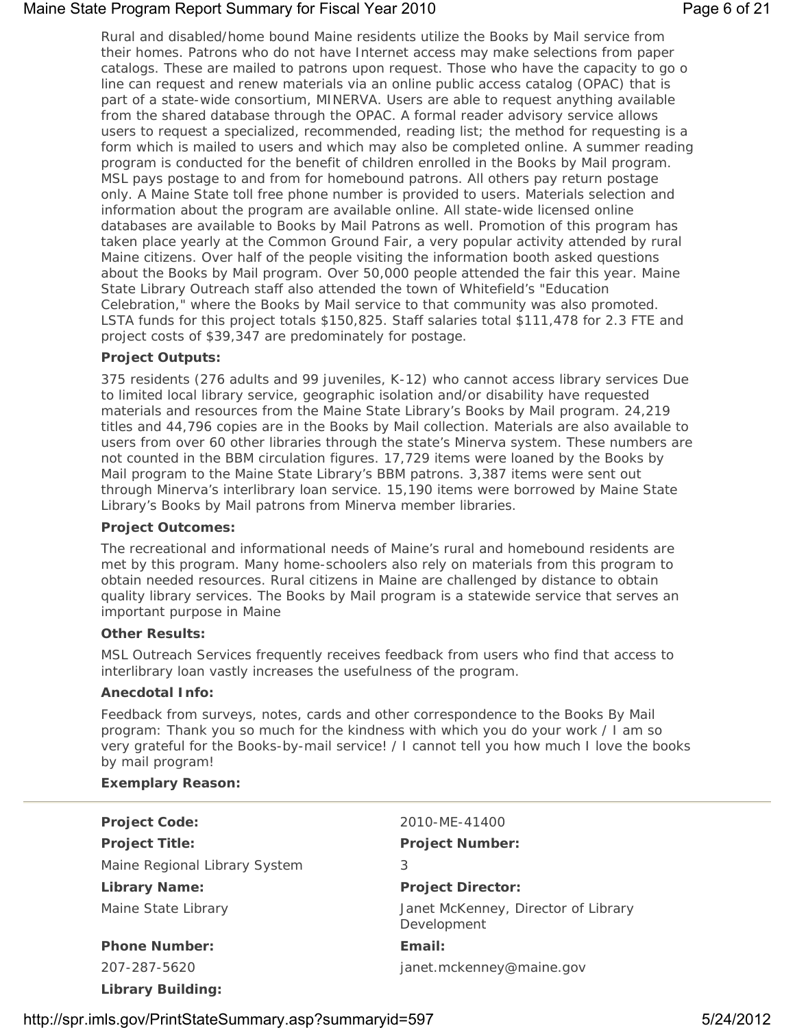## Maine State Program Report Summary for Fiscal Year 2010 **Page 6 of 21** Page 6 of 21

Rural and disabled/home bound Maine residents utilize the Books by Mail service from their homes. Patrons who do not have Internet access may make selections from paper catalogs. These are mailed to patrons upon request. Those who have the capacity to go o line can request and renew materials via an online public access catalog (OPAC) that is part of a state-wide consortium, MINERVA. Users are able to request anything available from the shared database through the OPAC. A formal reader advisory service allows users to request a specialized, recommended, reading list; the method for requesting is a form which is mailed to users and which may also be completed online. A summer reading program is conducted for the benefit of children enrolled in the Books by Mail program. MSL pays postage to and from for homebound patrons. All others pay return postage only. A Maine State toll free phone number is provided to users. Materials selection and information about the program are available online. All state-wide licensed online databases are available to Books by Mail Patrons as well. Promotion of this program has taken place yearly at the Common Ground Fair, a very popular activity attended by rural Maine citizens. Over half of the people visiting the information booth asked questions about the Books by Mail program. Over 50,000 people attended the fair this year. Maine State Library Outreach staff also attended the town of Whitefield's "Education Celebration," where the Books by Mail service to that community was also promoted. LSTA funds for this project totals \$150,825. Staff salaries total \$111,478 for 2.3 FTE and project costs of \$39,347 are predominately for postage.

## **Project Outputs:**

375 residents (276 adults and 99 juveniles, K-12) who cannot access library services Due to limited local library service, geographic isolation and/or disability have requested materials and resources from the Maine State Library's Books by Mail program. 24,219 titles and 44,796 copies are in the Books by Mail collection. Materials are also available to users from over 60 other libraries through the state's Minerva system. These numbers are not counted in the BBM circulation figures. 17,729 items were loaned by the Books by Mail program to the Maine State Library's BBM patrons. 3,387 items were sent out through Minerva's interlibrary loan service. 15,190 items were borrowed by Maine State Library's Books by Mail patrons from Minerva member libraries.

## **Project Outcomes:**

The recreational and informational needs of Maine's rural and homebound residents are met by this program. Many home-schoolers also rely on materials from this program to obtain needed resources. Rural citizens in Maine are challenged by distance to obtain quality library services. The Books by Mail program is a statewide service that serves an important purpose in Maine

## **Other Results:**

MSL Outreach Services frequently receives feedback from users who find that access to interlibrary loan vastly increases the usefulness of the program.

## **Anecdotal Info:**

Feedback from surveys, notes, cards and other correspondence to the Books By Mail program: Thank you so much for the kindness with which you do your work / I am so very grateful for the Books-by-mail service! / I cannot tell you how much I love the books by mail program!

## **Exemplary Reason:**

| <b>Project Code:</b>          | 2010-ME-41400                                      |
|-------------------------------|----------------------------------------------------|
| <b>Project Title:</b>         | <b>Project Number:</b>                             |
| Maine Regional Library System | 3                                                  |
| <b>Library Name:</b>          | <b>Project Director:</b>                           |
| Maine State Library           | Janet McKenney, Director of Library<br>Development |
| <b>Phone Number:</b>          | Email:                                             |
| 207-287-5620                  | janet.mckenney@maine.gov                           |
| Library Building:             |                                                    |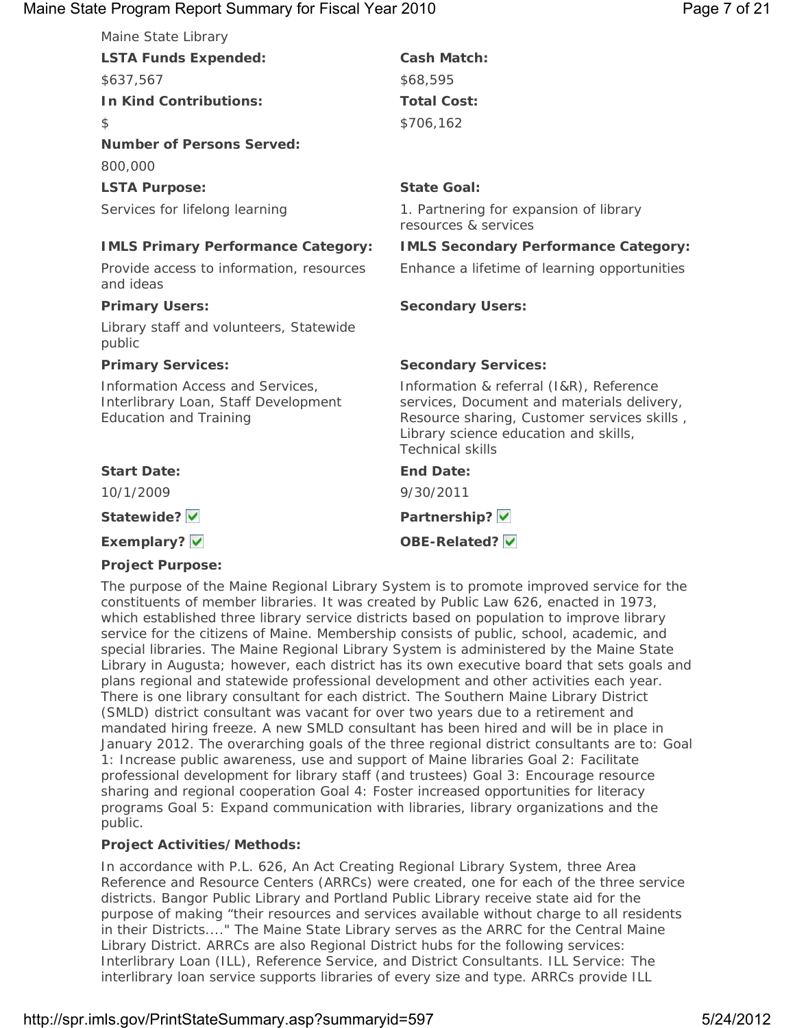## Maine State Program Report Summary for Fiscal Year 2010 **Page 7 of 21** Page 7 of 21

| Maine State Library                                                                                       |                                                                                                                                                                                                          |
|-----------------------------------------------------------------------------------------------------------|----------------------------------------------------------------------------------------------------------------------------------------------------------------------------------------------------------|
| <b>LSTA Funds Expended:</b>                                                                               | <b>Cash Match:</b>                                                                                                                                                                                       |
| \$637,567                                                                                                 | \$68,595                                                                                                                                                                                                 |
| <b>In Kind Contributions:</b>                                                                             | <b>Total Cost:</b>                                                                                                                                                                                       |
| \$                                                                                                        | \$706,162                                                                                                                                                                                                |
| <b>Number of Persons Served:</b>                                                                          |                                                                                                                                                                                                          |
| 800,000                                                                                                   |                                                                                                                                                                                                          |
| <b>LSTA Purpose:</b>                                                                                      | <b>State Goal:</b>                                                                                                                                                                                       |
| Services for lifelong learning                                                                            | 1. Partnering for expansion of library<br>resources & services                                                                                                                                           |
| <b>IMLS Primary Performance Category:</b>                                                                 | <b>IMLS Secondary Performance Category:</b>                                                                                                                                                              |
| Provide access to information, resources<br>and ideas                                                     | Enhance a lifetime of learning opportunities                                                                                                                                                             |
|                                                                                                           |                                                                                                                                                                                                          |
| <b>Primary Users:</b>                                                                                     | <b>Secondary Users:</b>                                                                                                                                                                                  |
| Library staff and volunteers, Statewide<br>public                                                         |                                                                                                                                                                                                          |
| <b>Primary Services:</b>                                                                                  | <b>Secondary Services:</b>                                                                                                                                                                               |
| Information Access and Services,<br>Interlibrary Loan, Staff Development<br><b>Education and Training</b> | Information & referral (I&R), Reference<br>services, Document and materials delivery,<br>Resource sharing, Customer services skills,<br>Library science education and skills,<br><b>Technical skills</b> |
| <b>Start Date:</b>                                                                                        | <b>End Date:</b>                                                                                                                                                                                         |
| 10/1/2009                                                                                                 | 9/30/2011                                                                                                                                                                                                |
| Statewide? V                                                                                              | Partnership? V                                                                                                                                                                                           |
| Exemplary? V                                                                                              | OBE-Related? V                                                                                                                                                                                           |

## **Project Purpose:**

The purpose of the Maine Regional Library System is to promote improved service for the constituents of member libraries. It was created by Public Law 626, enacted in 1973, which established three library service districts based on population to improve library service for the citizens of Maine. Membership consists of public, school, academic, and special libraries. The Maine Regional Library System is administered by the Maine State Library in Augusta; however, each district has its own executive board that sets goals and plans regional and statewide professional development and other activities each year. There is one library consultant for each district. The Southern Maine Library District (SMLD) district consultant was vacant for over two years due to a retirement and mandated hiring freeze. A new SMLD consultant has been hired and will be in place in January 2012. The overarching goals of the three regional district consultants are to: Goal 1: Increase public awareness, use and support of Maine libraries Goal 2: Facilitate professional development for library staff (and trustees) Goal 3: Encourage resource sharing and regional cooperation Goal 4: Foster increased opportunities for literacy programs Goal 5: Expand communication with libraries, library organizations and the public.

## **Project Activities/Methods:**

In accordance with P.L. 626, An Act Creating Regional Library System, three Area Reference and Resource Centers (ARRCs) were created, one for each of the three service districts. Bangor Public Library and Portland Public Library receive state aid for the purpose of making "their resources and services available without charge to all residents in their Districts...." The Maine State Library serves as the ARRC for the Central Maine Library District. ARRCs are also Regional District hubs for the following services: Interlibrary Loan (ILL), Reference Service, and District Consultants. ILL Service: The interlibrary loan service supports libraries of every size and type. ARRCs provide ILL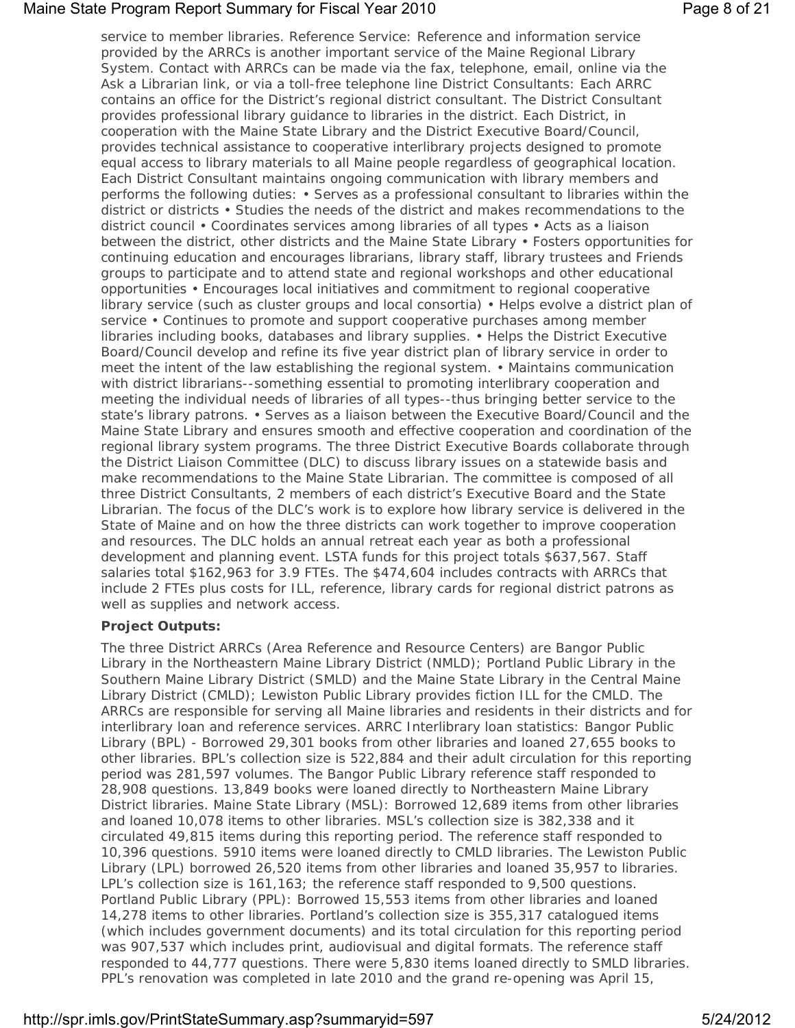## Maine State Program Report Summary for Fiscal Year 2010 **Page 8 of 21** Page 8 of 21

service to member libraries. Reference Service: Reference and information service provided by the ARRCs is another important service of the Maine Regional Library System. Contact with ARRCs can be made via the fax, telephone, email, online via the Ask a Librarian link, or via a toll-free telephone line District Consultants: Each ARRC contains an office for the District's regional district consultant. The District Consultant provides professional library guidance to libraries in the district. Each District, in cooperation with the Maine State Library and the District Executive Board/Council, provides technical assistance to cooperative interlibrary projects designed to promote equal access to library materials to all Maine people regardless of geographical location. Each District Consultant maintains ongoing communication with library members and performs the following duties: • Serves as a professional consultant to libraries within the district or districts • Studies the needs of the district and makes recommendations to the district council • Coordinates services among libraries of all types • Acts as a liaison between the district, other districts and the Maine State Library • Fosters opportunities for continuing education and encourages librarians, library staff, library trustees and Friends groups to participate and to attend state and regional workshops and other educational opportunities • Encourages local initiatives and commitment to regional cooperative library service (such as cluster groups and local consortia) • Helps evolve a district plan of service • Continues to promote and support cooperative purchases among member libraries including books, databases and library supplies. • Helps the District Executive Board/Council develop and refine its five year district plan of library service in order to meet the intent of the law establishing the regional system. • Maintains communication with district librarians--something essential to promoting interlibrary cooperation and meeting the individual needs of libraries of all types--thus bringing better service to the state's library patrons. • Serves as a liaison between the Executive Board/Council and the Maine State Library and ensures smooth and effective cooperation and coordination of the regional library system programs. The three District Executive Boards collaborate through the District Liaison Committee (DLC) to discuss library issues on a statewide basis and make recommendations to the Maine State Librarian. The committee is composed of all three District Consultants, 2 members of each district's Executive Board and the State Librarian. The focus of the DLC's work is to explore how library service is delivered in the State of Maine and on how the three districts can work together to improve cooperation and resources. The DLC holds an annual retreat each year as both a professional development and planning event. LSTA funds for this project totals \$637,567. Staff salaries total \$162,963 for 3.9 FTEs. The \$474,604 includes contracts with ARRCs that include 2 FTEs plus costs for ILL, reference, library cards for regional district patrons as well as supplies and network access.

## **Project Outputs:**

The three District ARRCs (Area Reference and Resource Centers) are Bangor Public Library in the Northeastern Maine Library District (NMLD); Portland Public Library in the Southern Maine Library District (SMLD) and the Maine State Library in the Central Maine Library District (CMLD); Lewiston Public Library provides fiction ILL for the CMLD. The ARRCs are responsible for serving all Maine libraries and residents in their districts and for interlibrary loan and reference services. ARRC Interlibrary loan statistics: Bangor Public Library (BPL) - Borrowed 29,301 books from other libraries and loaned 27,655 books to other libraries. BPL's collection size is 522,884 and their adult circulation for this reporting period was 281,597 volumes. The Bangor Public Library reference staff responded to 28,908 questions. 13,849 books were loaned directly to Northeastern Maine Library District libraries. Maine State Library (MSL): Borrowed 12,689 items from other libraries and loaned 10,078 items to other libraries. MSL's collection size is 382,338 and it circulated 49,815 items during this reporting period. The reference staff responded to 10,396 questions. 5910 items were loaned directly to CMLD libraries. The Lewiston Public Library (LPL) borrowed 26,520 items from other libraries and loaned 35,957 to libraries. LPL's collection size is 161,163; the reference staff responded to 9,500 questions. Portland Public Library (PPL): Borrowed 15,553 items from other libraries and loaned 14,278 items to other libraries. Portland's collection size is 355,317 catalogued items (which includes government documents) and its total circulation for this reporting period was 907,537 which includes print, audiovisual and digital formats. The reference staff responded to 44,777 questions. There were 5,830 items loaned directly to SMLD libraries. PPL's renovation was completed in late 2010 and the grand re-opening was April 15,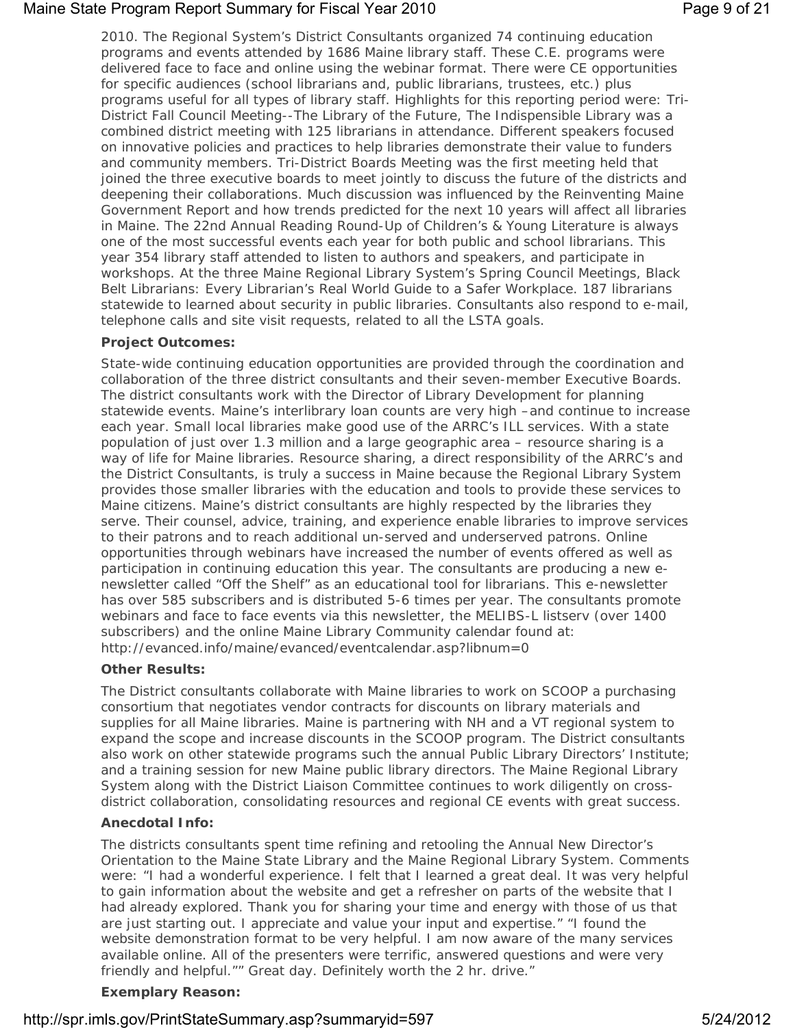## Maine State Program Report Summary for Fiscal Year 2010 **Page 9 of 21** Page 9 of 21

2010. The Regional System's District Consultants organized 74 continuing education programs and events attended by 1686 Maine library staff. These C.E. programs were delivered face to face and online using the webinar format. There were CE opportunities for specific audiences (school librarians and, public librarians, trustees, etc.) plus programs useful for all types of library staff. Highlights for this reporting period were: Tri-District Fall Council Meeting--The Library of the Future, The Indispensible Library was a combined district meeting with 125 librarians in attendance. Different speakers focused on innovative policies and practices to help libraries demonstrate their value to funders and community members. Tri-District Boards Meeting was the first meeting held that joined the three executive boards to meet jointly to discuss the future of the districts and deepening their collaborations. Much discussion was influenced by the Reinventing Maine Government Report and how trends predicted for the next 10 years will affect all libraries in Maine. The 22nd Annual Reading Round-Up of Children's & Young Literature is always one of the most successful events each year for both public and school librarians. This year 354 library staff attended to listen to authors and speakers, and participate in workshops. At the three Maine Regional Library System's Spring Council Meetings, Black Belt Librarians: Every Librarian's Real World Guide to a Safer Workplace. 187 librarians statewide to learned about security in public libraries. Consultants also respond to e-mail, telephone calls and site visit requests, related to all the LSTA goals.

## **Project Outcomes:**

State-wide continuing education opportunities are provided through the coordination and collaboration of the three district consultants and their seven-member Executive Boards. The district consultants work with the Director of Library Development for planning statewide events. Maine's interlibrary loan counts are very high –and continue to increase each year. Small local libraries make good use of the ARRC's ILL services. With a state population of just over 1.3 million and a large geographic area – resource sharing is a way of life for Maine libraries. Resource sharing, a direct responsibility of the ARRC's and the District Consultants, is truly a success in Maine because the Regional Library System provides those smaller libraries with the education and tools to provide these services to Maine citizens. Maine's district consultants are highly respected by the libraries they serve. Their counsel, advice, training, and experience enable libraries to improve services to their patrons and to reach additional un-served and underserved patrons. Online opportunities through webinars have increased the number of events offered as well as participation in continuing education this year. The consultants are producing a new enewsletter called "Off the Shelf" as an educational tool for librarians. This e-newsletter has over 585 subscribers and is distributed 5-6 times per year. The consultants promote webinars and face to face events via this newsletter, the MELIBS-L listserv (over 1400 subscribers) and the online Maine Library Community calendar found at: http://evanced.info/maine/evanced/eventcalendar.asp?libnum=0

## **Other Results:**

The District consultants collaborate with Maine libraries to work on SCOOP a purchasing consortium that negotiates vendor contracts for discounts on library materials and supplies for all Maine libraries. Maine is partnering with NH and a VT regional system to expand the scope and increase discounts in the SCOOP program. The District consultants also work on other statewide programs such the annual Public Library Directors' Institute; and a training session for new Maine public library directors. The Maine Regional Library System along with the District Liaison Committee continues to work diligently on crossdistrict collaboration, consolidating resources and regional CE events with great success.

## **Anecdotal Info:**

The districts consultants spent time refining and retooling the Annual New Director's Orientation to the Maine State Library and the Maine Regional Library System. Comments were: "I had a wonderful experience. I felt that I learned a great deal. It was very helpful to gain information about the website and get a refresher on parts of the website that I had already explored. Thank you for sharing your time and energy with those of us that are just starting out. I appreciate and value your input and expertise." "I found the website demonstration format to be very helpful. I am now aware of the many services available online. All of the presenters were terrific, answered questions and were very friendly and helpful."" Great day. Definitely worth the 2 hr. drive."

## **Exemplary Reason:**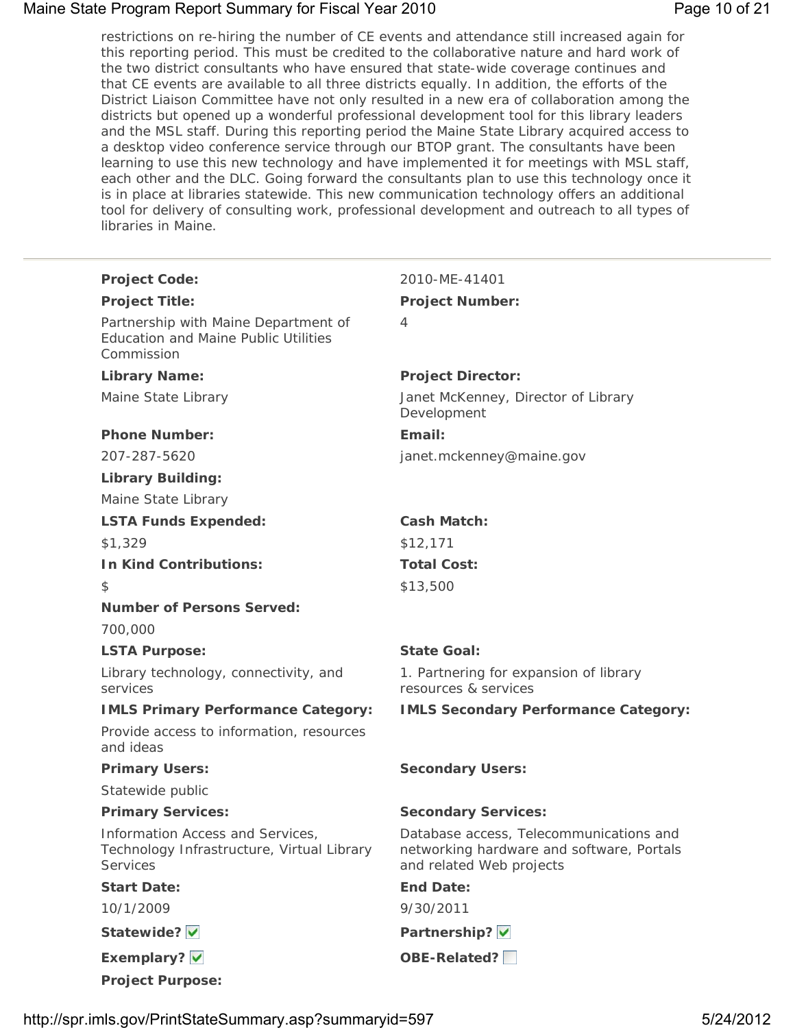## Maine State Program Report Summary for Fiscal Year 2010 **Page 10 of 21** Page 10 of 21

restrictions on re-hiring the number of CE events and attendance still increased again for this reporting period. This must be credited to the collaborative nature and hard work of the two district consultants who have ensured that state-wide coverage continues and that CE events are available to all three districts equally. In addition, the efforts of the District Liaison Committee have not only resulted in a new era of collaboration among the districts but opened up a wonderful professional development tool for this library leaders and the MSL staff. During this reporting period the Maine State Library acquired access to a desktop video conference service through our BTOP grant. The consultants have been learning to use this new technology and have implemented it for meetings with MSL staff, each other and the DLC. Going forward the consultants plan to use this technology once it is in place at libraries statewide. This new communication technology offers an additional tool for delivery of consulting work, professional development and outreach to all types of libraries in Maine.

| <b>Project Code:</b>                                                                              | 2010-ME-41401                                                                                                    |
|---------------------------------------------------------------------------------------------------|------------------------------------------------------------------------------------------------------------------|
| <b>Project Title:</b>                                                                             | <b>Project Number:</b>                                                                                           |
| Partnership with Maine Department of<br><b>Education and Maine Public Utilities</b><br>Commission | 4                                                                                                                |
| <b>Library Name:</b>                                                                              | <b>Project Director:</b>                                                                                         |
| Maine State Library                                                                               | Janet McKenney, Director of Library<br>Development                                                               |
| <b>Phone Number:</b>                                                                              | Email:                                                                                                           |
| 207-287-5620                                                                                      | janet.mckenney@maine.gov                                                                                         |
| <b>Library Building:</b>                                                                          |                                                                                                                  |
| Maine State Library                                                                               |                                                                                                                  |
| <b>LSTA Funds Expended:</b>                                                                       | <b>Cash Match:</b>                                                                                               |
| \$1,329                                                                                           | \$12,171                                                                                                         |
| <b>In Kind Contributions:</b>                                                                     | <b>Total Cost:</b>                                                                                               |
| \$                                                                                                | \$13,500                                                                                                         |
| <b>Number of Persons Served:</b>                                                                  |                                                                                                                  |
| 700,000                                                                                           |                                                                                                                  |
| <b>LSTA Purpose:</b>                                                                              | <b>State Goal:</b>                                                                                               |
| Library technology, connectivity, and<br>services                                                 | 1. Partnering for expansion of library<br>resources & services                                                   |
| <b>IMLS Primary Performance Category:</b>                                                         | <b>IMLS Secondary Performance Category:</b>                                                                      |
| Provide access to information, resources<br>and ideas                                             |                                                                                                                  |
| <b>Primary Users:</b>                                                                             | <b>Secondary Users:</b>                                                                                          |
| Statewide public                                                                                  |                                                                                                                  |
| <b>Primary Services:</b>                                                                          | <b>Secondary Services:</b>                                                                                       |
| Information Access and Services,<br>Technology Infrastructure, Virtual Library<br><b>Services</b> | Database access, Telecommunications and<br>networking hardware and software, Portals<br>and related Web projects |
| <b>Start Date:</b>                                                                                | <b>End Date:</b>                                                                                                 |
| 10/1/2009                                                                                         | 9/30/2011                                                                                                        |
| Statewide? V                                                                                      | Partnership? V                                                                                                   |
| Exemplary? V                                                                                      | OBE-Related?                                                                                                     |
| <b>Project Purpose:</b>                                                                           |                                                                                                                  |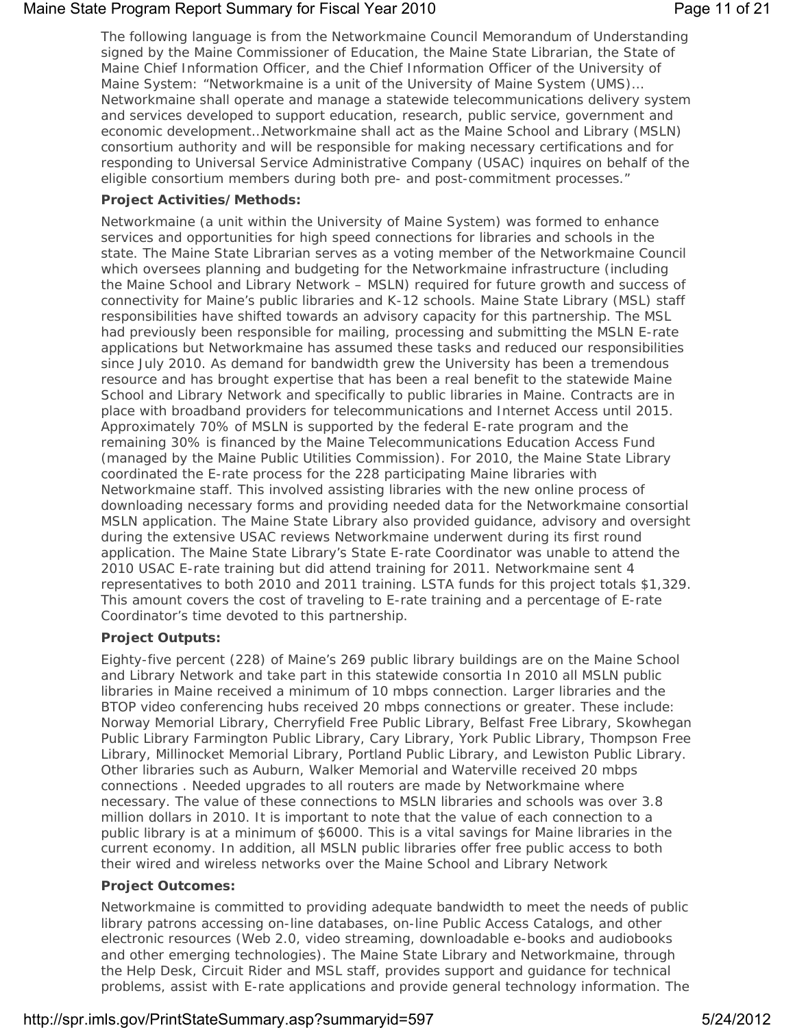## Maine State Program Report Summary for Fiscal Year 2010 **Page 11 of 21** Page 11 of 21

The following language is from the Networkmaine Council Memorandum of Understanding signed by the Maine Commissioner of Education, the Maine State Librarian, the State of Maine Chief Information Officer, and the Chief Information Officer of the University of Maine System: "Networkmaine is a unit of the University of Maine System (UMS)… Networkmaine shall operate and manage a statewide telecommunications delivery system and services developed to support education, research, public service, government and economic development…Networkmaine shall act as the Maine School and Library (MSLN) consortium authority and will be responsible for making necessary certifications and for responding to Universal Service Administrative Company (USAC) inquires on behalf of the eligible consortium members during both pre- and post-commitment processes."

## **Project Activities/Methods:**

Networkmaine (a unit within the University of Maine System) was formed to enhance services and opportunities for high speed connections for libraries and schools in the state. The Maine State Librarian serves as a voting member of the Networkmaine Council which oversees planning and budgeting for the Networkmaine infrastructure (including the Maine School and Library Network – MSLN) required for future growth and success of connectivity for Maine's public libraries and K-12 schools. Maine State Library (MSL) staff responsibilities have shifted towards an advisory capacity for this partnership. The MSL had previously been responsible for mailing, processing and submitting the MSLN E-rate applications but Networkmaine has assumed these tasks and reduced our responsibilities since July 2010. As demand for bandwidth grew the University has been a tremendous resource and has brought expertise that has been a real benefit to the statewide Maine School and Library Network and specifically to public libraries in Maine. Contracts are in place with broadband providers for telecommunications and Internet Access until 2015. Approximately 70% of MSLN is supported by the federal E-rate program and the remaining 30% is financed by the Maine Telecommunications Education Access Fund (managed by the Maine Public Utilities Commission). For 2010, the Maine State Library coordinated the E-rate process for the 228 participating Maine libraries with Networkmaine staff. This involved assisting libraries with the new online process of downloading necessary forms and providing needed data for the Networkmaine consortial MSLN application. The Maine State Library also provided guidance, advisory and oversight during the extensive USAC reviews Networkmaine underwent during its first round application. The Maine State Library's State E-rate Coordinator was unable to attend the 2010 USAC E-rate training but did attend training for 2011. Networkmaine sent 4 representatives to both 2010 and 2011 training. LSTA funds for this project totals \$1,329. This amount covers the cost of traveling to E-rate training and a percentage of E-rate Coordinator's time devoted to this partnership.

## **Project Outputs:**

Eighty-five percent (228) of Maine's 269 public library buildings are on the Maine School and Library Network and take part in this statewide consortia In 2010 all MSLN public libraries in Maine received a minimum of 10 mbps connection. Larger libraries and the BTOP video conferencing hubs received 20 mbps connections or greater. These include: Norway Memorial Library, Cherryfield Free Public Library, Belfast Free Library, Skowhegan Public Library Farmington Public Library, Cary Library, York Public Library, Thompson Free Library, Millinocket Memorial Library, Portland Public Library, and Lewiston Public Library. Other libraries such as Auburn, Walker Memorial and Waterville received 20 mbps connections . Needed upgrades to all routers are made by Networkmaine where necessary. The value of these connections to MSLN libraries and schools was over 3.8 million dollars in 2010. It is important to note that the value of each connection to a public library is at a minimum of \$6000. This is a vital savings for Maine libraries in the current economy. In addition, all MSLN public libraries offer free public access to both their wired and wireless networks over the Maine School and Library Network

## **Project Outcomes:**

Networkmaine is committed to providing adequate bandwidth to meet the needs of public library patrons accessing on-line databases, on-line Public Access Catalogs, and other electronic resources (Web 2.0, video streaming, downloadable e-books and audiobooks and other emerging technologies). The Maine State Library and Networkmaine, through the Help Desk, Circuit Rider and MSL staff, provides support and guidance for technical problems, assist with E-rate applications and provide general technology information. The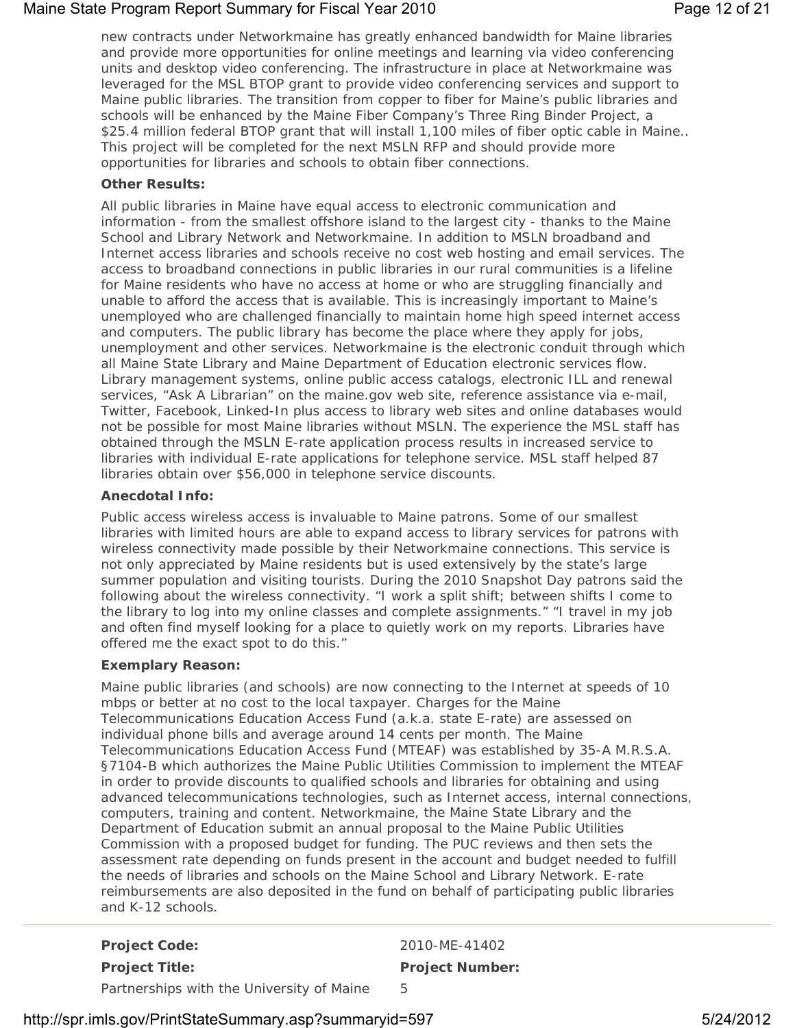## Maine State Program Report Summary for Fiscal Year 2010 **Page 12 of 21** Page 12 of 21

new contracts under Networkmaine has greatly enhanced bandwidth for Maine libraries and provide more opportunities for online meetings and learning via video conferencing units and desktop video conferencing. The infrastructure in place at Networkmaine was leveraged for the MSL BTOP grant to provide video conferencing services and support to Maine public libraries. The transition from copper to fiber for Maine's public libraries and schools will be enhanced by the Maine Fiber Company's Three Ring Binder Project, a \$25.4 million federal BTOP grant that will install 1,100 miles of fiber optic cable in Maine.. This project will be completed for the next MSLN RFP and should provide more opportunities for libraries and schools to obtain fiber connections.

## **Other Results:**

All public libraries in Maine have equal access to electronic communication and information - from the smallest offshore island to the largest city - thanks to the Maine School and Library Network and Networkmaine. In addition to MSLN broadband and Internet access libraries and schools receive no cost web hosting and email services. The access to broadband connections in public libraries in our rural communities is a lifeline for Maine residents who have no access at home or who are struggling financially and unable to afford the access that is available. This is increasingly important to Maine's unemployed who are challenged financially to maintain home high speed internet access and computers. The public library has become the place where they apply for jobs, unemployment and other services. Networkmaine is the electronic conduit through which all Maine State Library and Maine Department of Education electronic services flow. Library management systems, online public access catalogs, electronic ILL and renewal services, "Ask A Librarian" on the maine.gov web site, reference assistance via e-mail, Twitter, Facebook, Linked-In plus access to library web sites and online databases would not be possible for most Maine libraries without MSLN. The experience the MSL staff has obtained through the MSLN E-rate application process results in increased service to libraries with individual E-rate applications for telephone service. MSL staff helped 87 libraries obtain over \$56,000 in telephone service discounts.

## **Anecdotal Info:**

Public access wireless access is invaluable to Maine patrons. Some of our smallest libraries with limited hours are able to expand access to library services for patrons with wireless connectivity made possible by their Networkmaine connections. This service is not only appreciated by Maine residents but is used extensively by the state's large summer population and visiting tourists. During the 2010 Snapshot Day patrons said the following about the wireless connectivity. "I work a split shift; between shifts I come to the library to log into my online classes and complete assignments." "I travel in my job and often find myself looking for a place to quietly work on my reports. Libraries have offered me the exact spot to do this."

## **Exemplary Reason:**

Maine public libraries (and schools) are now connecting to the Internet at speeds of 10 mbps or better at no cost to the local taxpayer. Charges for the Maine Telecommunications Education Access Fund (a.k.a. state E-rate) are assessed on individual phone bills and average around 14 cents per month. The Maine Telecommunications Education Access Fund (MTEAF) was established by 35-A M.R.S.A. §7104-B which authorizes the Maine Public Utilities Commission to implement the MTEAF in order to provide discounts to qualified schools and libraries for obtaining and using advanced telecommunications technologies, such as Internet access, internal connections, computers, training and content. Networkmaine, the Maine State Library and the Department of Education submit an annual proposal to the Maine Public Utilities Commission with a proposed budget for funding. The PUC reviews and then sets the assessment rate depending on funds present in the account and budget needed to fulfill the needs of libraries and schools on the Maine School and Library Network. E-rate reimbursements are also deposited in the fund on behalf of participating public libraries and K-12 schools.

**Project Code:** 2010-ME-41402 **Project Title: Project Number:**

Partnerships with the University of Maine 5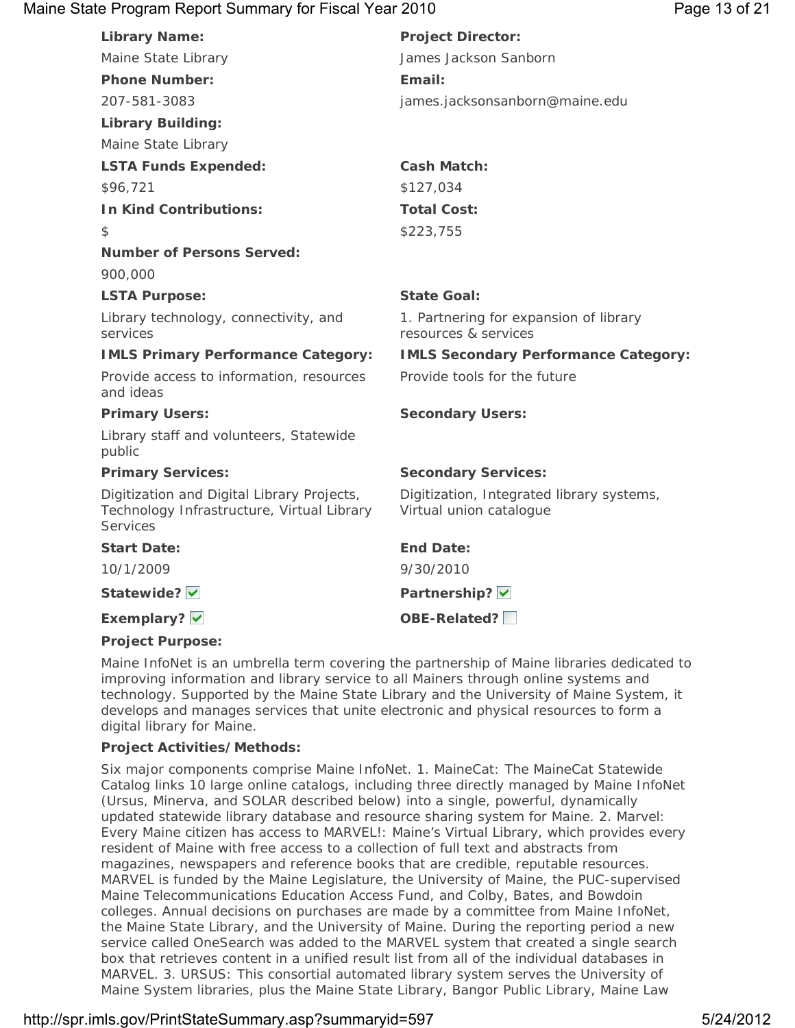## Maine State Program Report Summary for Fiscal Year 2010 **Page 13 of 21** Page 13 of 21

| <b>Library Name:</b>                                                                                 | <b>Project Director:</b>                                             |
|------------------------------------------------------------------------------------------------------|----------------------------------------------------------------------|
| Maine State Library                                                                                  | James Jackson Sanborn                                                |
| <b>Phone Number:</b>                                                                                 | Email:                                                               |
| 207-581-3083                                                                                         | james.jacksonsanborn@maine.edu                                       |
| <b>Library Building:</b>                                                                             |                                                                      |
| Maine State Library                                                                                  |                                                                      |
| <b>LSTA Funds Expended:</b>                                                                          | <b>Cash Match:</b>                                                   |
| \$96,721                                                                                             | \$127,034                                                            |
| <b>In Kind Contributions:</b>                                                                        | <b>Total Cost:</b>                                                   |
| \$                                                                                                   | \$223,755                                                            |
| <b>Number of Persons Served:</b>                                                                     |                                                                      |
| 900,000                                                                                              |                                                                      |
| <b>LSTA Purpose:</b>                                                                                 | <b>State Goal:</b>                                                   |
| Library technology, connectivity, and<br>services                                                    | 1. Partnering for expansion of library<br>resources & services       |
| <b>IMLS Primary Performance Category:</b>                                                            | <b>IMLS Secondary Performance Category:</b>                          |
| Provide access to information, resources<br>and ideas                                                | Provide tools for the future                                         |
| <b>Primary Users:</b>                                                                                | <b>Secondary Users:</b>                                              |
| Library staff and volunteers, Statewide<br>public                                                    |                                                                      |
| <b>Primary Services:</b>                                                                             | <b>Secondary Services:</b>                                           |
| Digitization and Digital Library Projects,<br>Technology Infrastructure, Virtual Library<br>Services | Digitization, Integrated library systems,<br>Virtual union catalogue |
| <b>Start Date:</b>                                                                                   | <b>End Date:</b>                                                     |
| 10/1/2009                                                                                            | 9/30/2010                                                            |
| Statewide?                                                                                           | Partnership? V                                                       |
| Exemplary? V                                                                                         | OBE-Related?                                                         |

## **Project Purpose:**

Maine InfoNet is an umbrella term covering the partnership of Maine libraries dedicated to improving information and library service to all Mainers through online systems and technology. Supported by the Maine State Library and the University of Maine System, it develops and manages services that unite electronic and physical resources to form a digital library for Maine.

## **Project Activities/Methods:**

Six major components comprise Maine InfoNet. 1. MaineCat: The MaineCat Statewide Catalog links 10 large online catalogs, including three directly managed by Maine InfoNet (Ursus, Minerva, and SOLAR described below) into a single, powerful, dynamically updated statewide library database and resource sharing system for Maine. 2. Marvel: Every Maine citizen has access to MARVEL!: Maine's Virtual Library, which provides every resident of Maine with free access to a collection of full text and abstracts from magazines, newspapers and reference books that are credible, reputable resources. MARVEL is funded by the Maine Legislature, the University of Maine, the PUC-supervised Maine Telecommunications Education Access Fund, and Colby, Bates, and Bowdoin colleges. Annual decisions on purchases are made by a committee from Maine InfoNet, the Maine State Library, and the University of Maine. During the reporting period a new service called OneSearch was added to the MARVEL system that created a single search box that retrieves content in a unified result list from all of the individual databases in MARVEL. 3. URSUS: This consortial automated library system serves the University of Maine System libraries, plus the Maine State Library, Bangor Public Library, Maine Law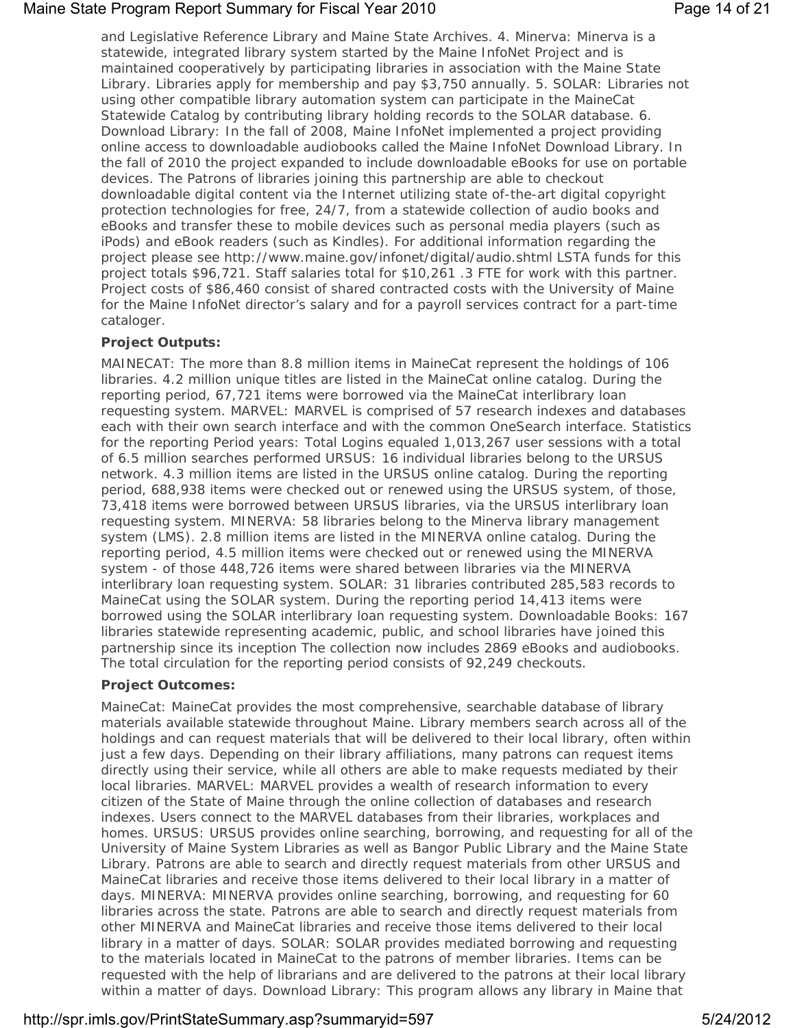## Maine State Program Report Summary for Fiscal Year 2010 **Page 14 of 21** Page 14 of 21

and Legislative Reference Library and Maine State Archives. 4. Minerva: Minerva is a statewide, integrated library system started by the Maine InfoNet Project and is maintained cooperatively by participating libraries in association with the Maine State Library. Libraries apply for membership and pay \$3,750 annually. 5. SOLAR: Libraries not using other compatible library automation system can participate in the MaineCat Statewide Catalog by contributing library holding records to the SOLAR database. 6. Download Library: In the fall of 2008, Maine InfoNet implemented a project providing online access to downloadable audiobooks called the Maine InfoNet Download Library. In the fall of 2010 the project expanded to include downloadable eBooks for use on portable devices. The Patrons of libraries joining this partnership are able to checkout downloadable digital content via the Internet utilizing state of-the-art digital copyright protection technologies for free, 24/7, from a statewide collection of audio books and eBooks and transfer these to mobile devices such as personal media players (such as iPods) and eBook readers (such as Kindles). For additional information regarding the project please see http://www.maine.gov/infonet/digital/audio.shtml LSTA funds for this project totals \$96,721. Staff salaries total for \$10,261 .3 FTE for work with this partner. Project costs of \$86,460 consist of shared contracted costs with the University of Maine for the Maine InfoNet director's salary and for a payroll services contract for a part-time cataloger.

## **Project Outputs:**

MAINECAT: The more than 8.8 million items in MaineCat represent the holdings of 106 libraries. 4.2 million unique titles are listed in the MaineCat online catalog. During the reporting period, 67,721 items were borrowed via the MaineCat interlibrary loan requesting system. MARVEL: MARVEL is comprised of 57 research indexes and databases each with their own search interface and with the common OneSearch interface. Statistics for the reporting Period years: Total Logins equaled 1,013,267 user sessions with a total of 6.5 million searches performed URSUS: 16 individual libraries belong to the URSUS network. 4.3 million items are listed in the URSUS online catalog. During the reporting period, 688,938 items were checked out or renewed using the URSUS system, of those, 73,418 items were borrowed between URSUS libraries, via the URSUS interlibrary loan requesting system. MINERVA: 58 libraries belong to the Minerva library management system (LMS). 2.8 million items are listed in the MINERVA online catalog. During the reporting period, 4.5 million items were checked out or renewed using the MINERVA system - of those 448,726 items were shared between libraries via the MINERVA interlibrary loan requesting system. SOLAR: 31 libraries contributed 285,583 records to MaineCat using the SOLAR system. During the reporting period 14,413 items were borrowed using the SOLAR interlibrary loan requesting system. Downloadable Books: 167 libraries statewide representing academic, public, and school libraries have joined this partnership since its inception The collection now includes 2869 eBooks and audiobooks. The total circulation for the reporting period consists of 92,249 checkouts.

## **Project Outcomes:**

MaineCat: MaineCat provides the most comprehensive, searchable database of library materials available statewide throughout Maine. Library members search across all of the holdings and can request materials that will be delivered to their local library, often within just a few days. Depending on their library affiliations, many patrons can request items directly using their service, while all others are able to make requests mediated by their local libraries. MARVEL: MARVEL provides a wealth of research information to every citizen of the State of Maine through the online collection of databases and research indexes. Users connect to the MARVEL databases from their libraries, workplaces and homes. URSUS: URSUS provides online searching, borrowing, and requesting for all of the University of Maine System Libraries as well as Bangor Public Library and the Maine State Library. Patrons are able to search and directly request materials from other URSUS and MaineCat libraries and receive those items delivered to their local library in a matter of days. MINERVA: MINERVA provides online searching, borrowing, and requesting for 60 libraries across the state. Patrons are able to search and directly request materials from other MINERVA and MaineCat libraries and receive those items delivered to their local library in a matter of days. SOLAR: SOLAR provides mediated borrowing and requesting to the materials located in MaineCat to the patrons of member libraries. Items can be requested with the help of librarians and are delivered to the patrons at their local library within a matter of days. Download Library: This program allows any library in Maine that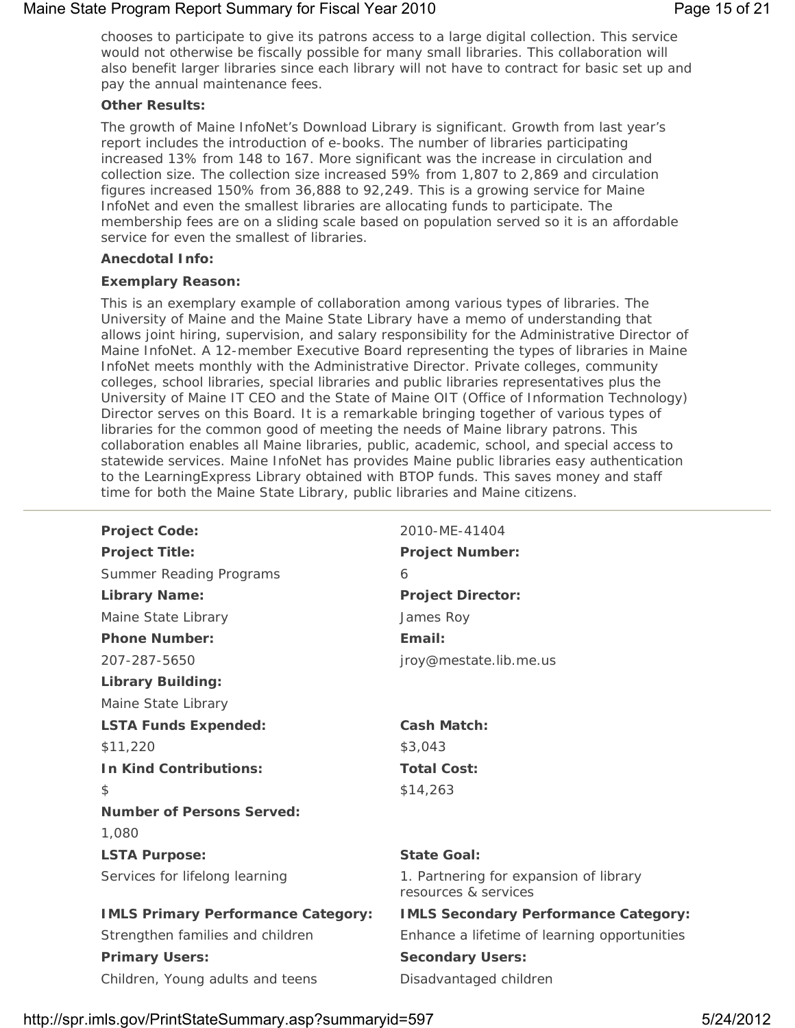## Maine State Program Report Summary for Fiscal Year 2010 **Page 15 of 21** Page 15 of 21

chooses to participate to give its patrons access to a large digital collection. This service would not otherwise be fiscally possible for many small libraries. This collaboration will also benefit larger libraries since each library will not have to contract for basic set up and pay the annual maintenance fees.

## **Other Results:**

The growth of Maine InfoNet's Download Library is significant. Growth from last year's report includes the introduction of e-books. The number of libraries participating increased 13% from 148 to 167. More significant was the increase in circulation and collection size. The collection size increased 59% from 1,807 to 2,869 and circulation figures increased 150% from 36,888 to 92,249. This is a growing service for Maine InfoNet and even the smallest libraries are allocating funds to participate. The membership fees are on a sliding scale based on population served so it is an affordable service for even the smallest of libraries.

## **Anecdotal Info:**

## **Exemplary Reason:**

This is an exemplary example of collaboration among various types of libraries. The University of Maine and the Maine State Library have a memo of understanding that allows joint hiring, supervision, and salary responsibility for the Administrative Director of Maine InfoNet. A 12-member Executive Board representing the types of libraries in Maine InfoNet meets monthly with the Administrative Director. Private colleges, community colleges, school libraries, special libraries and public libraries representatives plus the University of Maine IT CEO and the State of Maine OIT (Office of Information Technology) Director serves on this Board. It is a remarkable bringing together of various types of libraries for the common good of meeting the needs of Maine library patrons. This collaboration enables all Maine libraries, public, academic, school, and special access to statewide services. Maine InfoNet has provides Maine public libraries easy authentication to the LearningExpress Library obtained with BTOP funds. This saves money and staff time for both the Maine State Library, public libraries and Maine citizens.

| <b>Project Code:</b>                      | 2010-ME-41404                                                  |
|-------------------------------------------|----------------------------------------------------------------|
| <b>Project Title:</b>                     | <b>Project Number:</b>                                         |
| Summer Reading Programs                   | 6                                                              |
| <b>Library Name:</b>                      | <b>Project Director:</b>                                       |
| Maine State Library                       | James Roy                                                      |
| <b>Phone Number:</b>                      | Email:                                                         |
| 207-287-5650                              | jroy@mestate.lib.me.us                                         |
| <b>Library Building:</b>                  |                                                                |
| Maine State Library                       |                                                                |
| <b>LSTA Funds Expended:</b>               | <b>Cash Match:</b>                                             |
| \$11,220                                  | \$3,043                                                        |
| <b>In Kind Contributions:</b>             | <b>Total Cost:</b>                                             |
| \$                                        | \$14,263                                                       |
| <b>Number of Persons Served:</b>          |                                                                |
| 1,080                                     |                                                                |
| <b>LSTA Purpose:</b>                      | <b>State Goal:</b>                                             |
| Services for lifelong learning            | 1. Partnering for expansion of library<br>resources & services |
| <b>IMLS Primary Performance Category:</b> | <b>IMLS Secondary Performance Category:</b>                    |
| Strengthen families and children          | Enhance a lifetime of learning opportunities                   |
| <b>Primary Users:</b>                     | <b>Secondary Users:</b>                                        |
| Children, Young adults and teens          | Disadvantaged children                                         |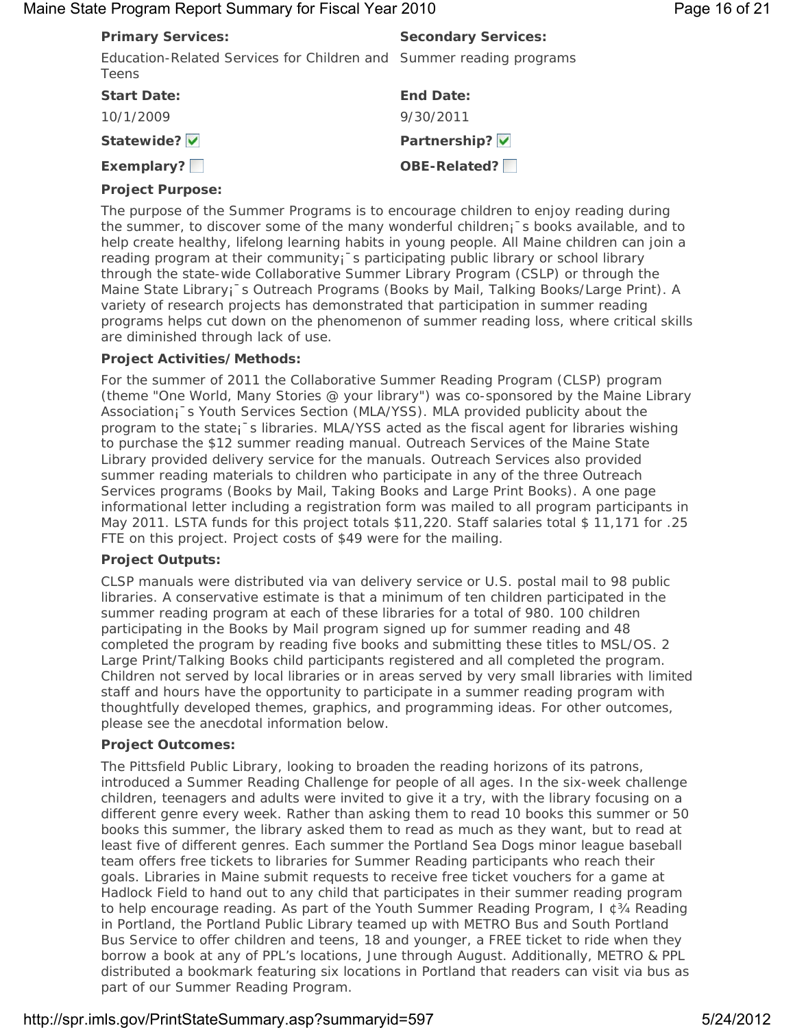## Maine State Program Report Summary for Fiscal Year 2010 **Page 16 of 21** Page 16 of 21

| <b>Primary Services:</b>                                                            | <b>Secondary Services:</b> |
|-------------------------------------------------------------------------------------|----------------------------|
| Education-Related Services for Children and Summer reading programs<br><b>Teens</b> |                            |
| <b>Start Date:</b>                                                                  | <b>End Date:</b>           |
| 10/1/2009                                                                           | 9/30/2011                  |
| Statewide? V                                                                        | Partnership? V             |
| Exemplary? $\Box$                                                                   | OBE-Related?               |

## **Project Purpose:**

The purpose of the Summer Programs is to encourage children to enjoy reading during the summer, to discover some of the many wonderful children;<sup>-</sup>s books available, and to help create healthy, lifelong learning habits in young people. All Maine children can join a reading program at their community; s participating public library or school library through the state-wide Collaborative Summer Library Program (CSLP) or through the Maine State Library;<sup>-</sup>s Outreach Programs (Books by Mail, Talking Books/Large Print). A variety of research projects has demonstrated that participation in summer reading programs helps cut down on the phenomenon of summer reading loss, where critical skills are diminished through lack of use.

## **Project Activities/Methods:**

For the summer of 2011 the Collaborative Summer Reading Program (CLSP) program (theme "One World, Many Stories @ your library") was co-sponsored by the Maine Library Association¡¯s Youth Services Section (MLA/YSS). MLA provided publicity about the program to the state<sub>i</sub> s libraries. MLA/YSS acted as the fiscal agent for libraries wishing to purchase the \$12 summer reading manual. Outreach Services of the Maine State Library provided delivery service for the manuals. Outreach Services also provided summer reading materials to children who participate in any of the three Outreach Services programs (Books by Mail, Taking Books and Large Print Books). A one page informational letter including a registration form was mailed to all program participants in May 2011. LSTA funds for this project totals \$11,220. Staff salaries total \$ 11,171 for .25 FTE on this project. Project costs of \$49 were for the mailing.

## **Project Outputs:**

CLSP manuals were distributed via van delivery service or U.S. postal mail to 98 public libraries. A conservative estimate is that a minimum of ten children participated in the summer reading program at each of these libraries for a total of 980. 100 children participating in the Books by Mail program signed up for summer reading and 48 completed the program by reading five books and submitting these titles to MSL/OS. 2 Large Print/Talking Books child participants registered and all completed the program. Children not served by local libraries or in areas served by very small libraries with limited staff and hours have the opportunity to participate in a summer reading program with thoughtfully developed themes, graphics, and programming ideas. For other outcomes, please see the anecdotal information below.

## **Project Outcomes:**

The Pittsfield Public Library, looking to broaden the reading horizons of its patrons, introduced a Summer Reading Challenge for people of all ages. In the six-week challenge children, teenagers and adults were invited to give it a try, with the library focusing on a different genre every week. Rather than asking them to read 10 books this summer or 50 books this summer, the library asked them to read as much as they want, but to read at least five of different genres. Each summer the Portland Sea Dogs minor league baseball team offers free tickets to libraries for Summer Reading participants who reach their goals. Libraries in Maine submit requests to receive free ticket vouchers for a game at Hadlock Field to hand out to any child that participates in their summer reading program to help encourage reading. As part of the Youth Summer Reading Program, I ¢¾ Reading in Portland, the Portland Public Library teamed up with METRO Bus and South Portland Bus Service to offer children and teens, 18 and younger, a FREE ticket to ride when they borrow a book at any of PPL's locations, June through August. Additionally, METRO & PPL distributed a bookmark featuring six locations in Portland that readers can visit via bus as part of our Summer Reading Program.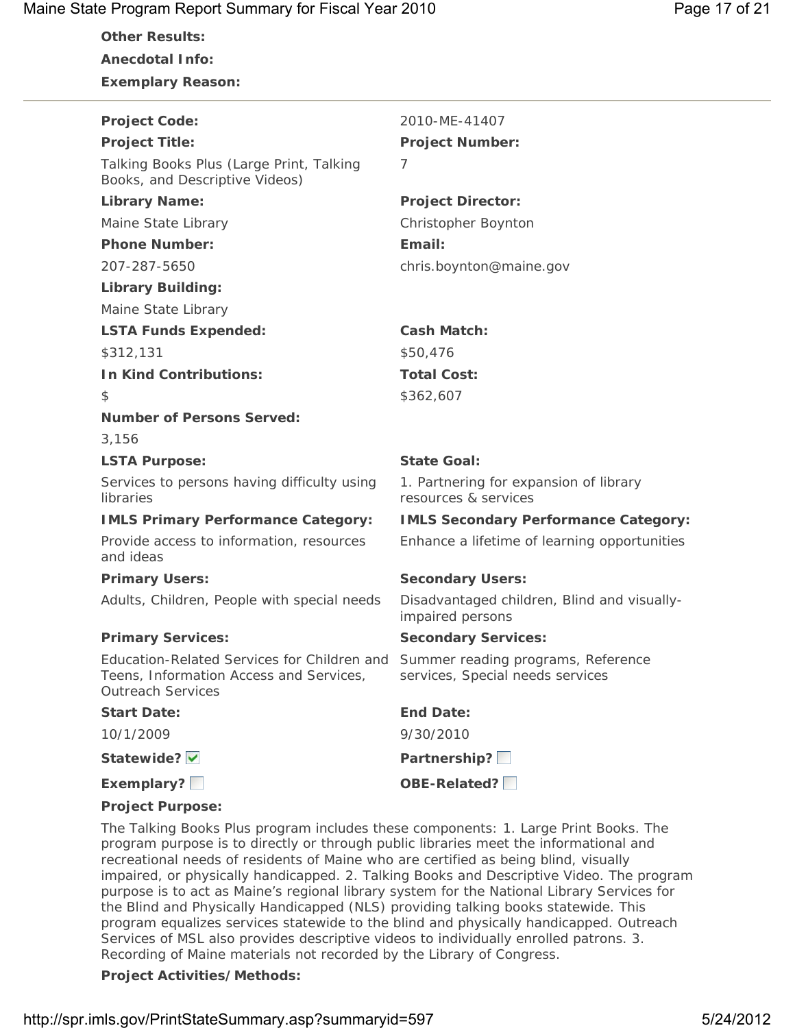## Maine State Program Report Summary for Fiscal Year 2010 Page 17 of 21

**Other Results: Anecdotal Info: Exemplary Reason:**

| <b>Project Code:</b>                                                                                               | 2010-ME-41407                                                          |
|--------------------------------------------------------------------------------------------------------------------|------------------------------------------------------------------------|
| <b>Project Title:</b>                                                                                              | <b>Project Number:</b>                                                 |
| Talking Books Plus (Large Print, Talking<br>Books, and Descriptive Videos)                                         | 7                                                                      |
| <b>Library Name:</b>                                                                                               | <b>Project Director:</b>                                               |
| Maine State Library                                                                                                | Christopher Boynton                                                    |
| <b>Phone Number:</b>                                                                                               | Email:                                                                 |
| 207-287-5650                                                                                                       | chris.boynton@maine.gov                                                |
| <b>Library Building:</b>                                                                                           |                                                                        |
| Maine State Library                                                                                                |                                                                        |
| <b>LSTA Funds Expended:</b>                                                                                        | <b>Cash Match:</b>                                                     |
| \$312,131                                                                                                          | \$50,476                                                               |
| <b>In Kind Contributions:</b>                                                                                      | <b>Total Cost:</b>                                                     |
| $\mathfrak{P}$                                                                                                     | \$362,607                                                              |
| <b>Number of Persons Served:</b>                                                                                   |                                                                        |
| 3,156                                                                                                              |                                                                        |
| <b>LSTA Purpose:</b>                                                                                               | <b>State Goal:</b>                                                     |
| Services to persons having difficulty using<br>libraries                                                           | 1. Partnering for expansion of library<br>resources & services         |
| <b>IMLS Primary Performance Category:</b>                                                                          | <b>IMLS Secondary Performance Category:</b>                            |
| Provide access to information, resources<br>and ideas                                                              | Enhance a lifetime of learning opportunities                           |
| <b>Primary Users:</b>                                                                                              | <b>Secondary Users:</b>                                                |
| Adults, Children, People with special needs                                                                        | Disadvantaged children, Blind and visually-<br>impaired persons        |
| <b>Primary Services:</b>                                                                                           | <b>Secondary Services:</b>                                             |
| Education-Related Services for Children and<br>Teens, Information Access and Services,<br><b>Outreach Services</b> | Summer reading programs, Reference<br>services, Special needs services |
| <b>Start Date:</b>                                                                                                 | <b>End Date:</b>                                                       |
| 10/1/2009                                                                                                          | 9/30/2010                                                              |
|                                                                                                                    |                                                                        |
| Statewide? V                                                                                                       | Partnership?                                                           |

## **Project Purpose:**

The Talking Books Plus program includes these components: 1. Large Print Books. The program purpose is to directly or through public libraries meet the informational and recreational needs of residents of Maine who are certified as being blind, visually impaired, or physically handicapped. 2. Talking Books and Descriptive Video. The program purpose is to act as Maine's regional library system for the National Library Services for the Blind and Physically Handicapped (NLS) providing talking books statewide. This program equalizes services statewide to the blind and physically handicapped. Outreach Services of MSL also provides descriptive videos to individually enrolled patrons. 3. Recording of Maine materials not recorded by the Library of Congress.

## **Project Activities/Methods:**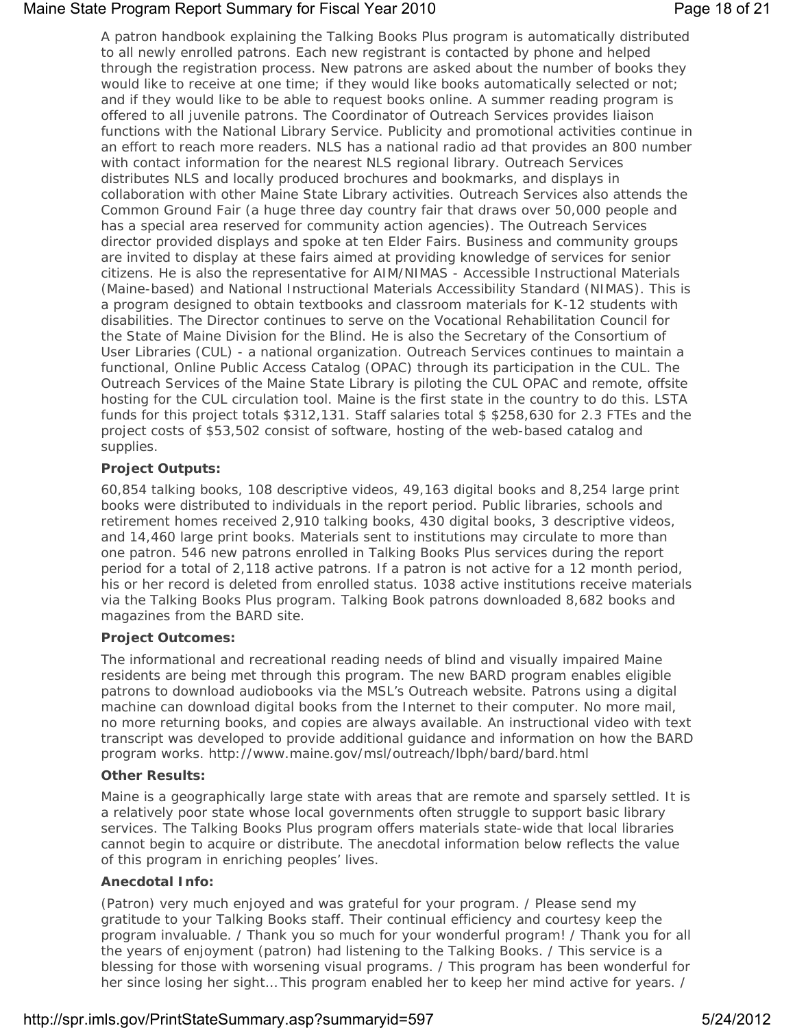## Maine State Program Report Summary for Fiscal Year 2010 **Page 18 of 21** Page 18 of 21

A patron handbook explaining the Talking Books Plus program is automatically distributed to all newly enrolled patrons. Each new registrant is contacted by phone and helped through the registration process. New patrons are asked about the number of books they would like to receive at one time; if they would like books automatically selected or not; and if they would like to be able to request books online. A summer reading program is offered to all juvenile patrons. The Coordinator of Outreach Services provides liaison functions with the National Library Service. Publicity and promotional activities continue in an effort to reach more readers. NLS has a national radio ad that provides an 800 number with contact information for the nearest NLS regional library. Outreach Services distributes NLS and locally produced brochures and bookmarks, and displays in collaboration with other Maine State Library activities. Outreach Services also attends the Common Ground Fair (a huge three day country fair that draws over 50,000 people and has a special area reserved for community action agencies). The Outreach Services director provided displays and spoke at ten Elder Fairs. Business and community groups are invited to display at these fairs aimed at providing knowledge of services for senior citizens. He is also the representative for AIM/NIMAS - Accessible Instructional Materials (Maine-based) and National Instructional Materials Accessibility Standard (NIMAS). This is a program designed to obtain textbooks and classroom materials for K-12 students with disabilities. The Director continues to serve on the Vocational Rehabilitation Council for the State of Maine Division for the Blind. He is also the Secretary of the Consortium of User Libraries (CUL) - a national organization. Outreach Services continues to maintain a functional, Online Public Access Catalog (OPAC) through its participation in the CUL. The Outreach Services of the Maine State Library is piloting the CUL OPAC and remote, offsite hosting for the CUL circulation tool. Maine is the first state in the country to do this. LSTA funds for this project totals \$312,131. Staff salaries total \$ \$258,630 for 2.3 FTEs and the project costs of \$53,502 consist of software, hosting of the web-based catalog and supplies.

## **Project Outputs:**

60,854 talking books, 108 descriptive videos, 49,163 digital books and 8,254 large print books were distributed to individuals in the report period. Public libraries, schools and retirement homes received 2,910 talking books, 430 digital books, 3 descriptive videos, and 14,460 large print books. Materials sent to institutions may circulate to more than one patron. 546 new patrons enrolled in Talking Books Plus services during the report period for a total of 2,118 active patrons. If a patron is not active for a 12 month period, his or her record is deleted from enrolled status. 1038 active institutions receive materials via the Talking Books Plus program. Talking Book patrons downloaded 8,682 books and magazines from the BARD site.

## **Project Outcomes:**

The informational and recreational reading needs of blind and visually impaired Maine residents are being met through this program. The new BARD program enables eligible patrons to download audiobooks via the MSL's Outreach website. Patrons using a digital machine can download digital books from the Internet to their computer. No more mail, no more returning books, and copies are always available. An instructional video with text transcript was developed to provide additional guidance and information on how the BARD program works. http://www.maine.gov/msl/outreach/lbph/bard/bard.html

## **Other Results:**

Maine is a geographically large state with areas that are remote and sparsely settled. It is a relatively poor state whose local governments often struggle to support basic library services. The Talking Books Plus program offers materials state-wide that local libraries cannot begin to acquire or distribute. The anecdotal information below reflects the value of this program in enriching peoples' lives.

## **Anecdotal Info:**

(Patron) very much enjoyed and was grateful for your program. / Please send my gratitude to your Talking Books staff. Their continual efficiency and courtesy keep the program invaluable. / Thank you so much for your wonderful program! / Thank you for all the years of enjoyment (patron) had listening to the Talking Books. / This service is a blessing for those with worsening visual programs. / This program has been wonderful for her since losing her sight… This program enabled her to keep her mind active for years. /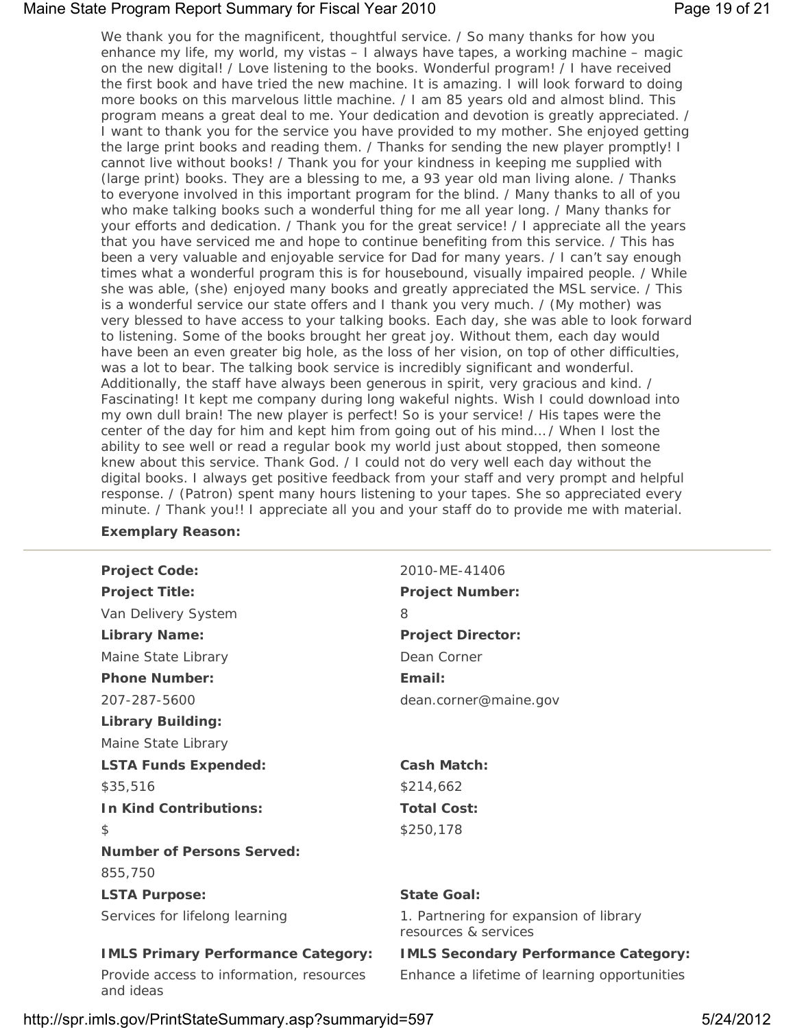## Maine State Program Report Summary for Fiscal Year 2010 **Page 19 of 21** Page 19 of 21

We thank you for the magnificent, thoughtful service. / So many thanks for how you enhance my life, my world, my vistas – I always have tapes, a working machine – magic on the new digital! / Love listening to the books. Wonderful program! / I have received the first book and have tried the new machine. It is amazing. I will look forward to doing more books on this marvelous little machine. / I am 85 years old and almost blind. This program means a great deal to me. Your dedication and devotion is greatly appreciated. / I want to thank you for the service you have provided to my mother. She enjoyed getting the large print books and reading them. / Thanks for sending the new player promptly! I cannot live without books! / Thank you for your kindness in keeping me supplied with (large print) books. They are a blessing to me, a 93 year old man living alone. / Thanks to everyone involved in this important program for the blind. / Many thanks to all of you who make talking books such a wonderful thing for me all year long. / Many thanks for your efforts and dedication. / Thank you for the great service! / I appreciate all the years that you have serviced me and hope to continue benefiting from this service. / This has been a very valuable and enjoyable service for Dad for many years. / I can't say enough times what a wonderful program this is for housebound, visually impaired people. / While she was able, (she) enjoyed many books and greatly appreciated the MSL service. / This is a wonderful service our state offers and I thank you very much. / (My mother) was very blessed to have access to your talking books. Each day, she was able to look forward to listening. Some of the books brought her great joy. Without them, each day would have been an even greater big hole, as the loss of her vision, on top of other difficulties, was a lot to bear. The talking book service is incredibly significant and wonderful. Additionally, the staff have always been generous in spirit, very gracious and kind. / Fascinating! It kept me company during long wakeful nights. Wish I could download into my own dull brain! The new player is perfect! So is your service! / His tapes were the center of the day for him and kept him from going out of his mind… / When I lost the ability to see well or read a regular book my world just about stopped, then someone knew about this service. Thank God. / I could not do very well each day without the digital books. I always get positive feedback from your staff and very prompt and helpful response. / (Patron) spent many hours listening to your tapes. She so appreciated every minute. / Thank you!! I appreciate all you and your staff do to provide me with material.

## **Exemplary Reason:**

| <b>Project Code:</b>                                  | 2010-ME-41406                                                  |
|-------------------------------------------------------|----------------------------------------------------------------|
| <b>Project Title:</b>                                 | <b>Project Number:</b>                                         |
| Van Delivery System                                   | 8                                                              |
| <b>Library Name:</b>                                  | <b>Project Director:</b>                                       |
| Maine State Library                                   | Dean Corner                                                    |
| <b>Phone Number:</b>                                  | Email:                                                         |
| 207-287-5600                                          | dean.corner@maine.gov                                          |
| <b>Library Building:</b>                              |                                                                |
| Maine State Library                                   |                                                                |
| <b>LSTA Funds Expended:</b>                           | <b>Cash Match:</b>                                             |
| \$35,516                                              | \$214,662                                                      |
| <b>In Kind Contributions:</b>                         | <b>Total Cost:</b>                                             |
| \$                                                    | \$250,178                                                      |
| <b>Number of Persons Served:</b>                      |                                                                |
| 855,750                                               |                                                                |
| <b>LSTA Purpose:</b>                                  | <b>State Goal:</b>                                             |
| Services for lifelong learning                        | 1. Partnering for expansion of library<br>resources & services |
| <b>IMLS Primary Performance Category:</b>             | <b>IMLS Secondary Performance Category:</b>                    |
| Provide access to information, resources<br>and ideas | Enhance a lifetime of learning opportunities                   |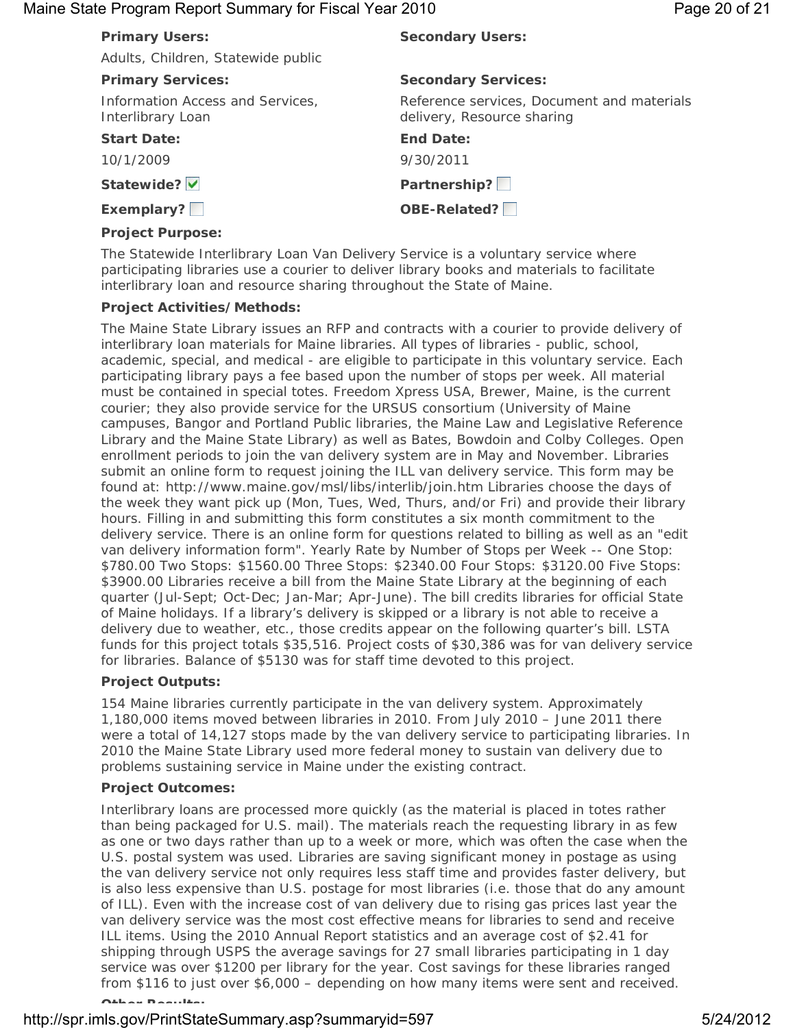## Maine State Program Report Summary for Fiscal Year 2010 **Page 20 of 21** Page 20 of 21

| <b>Primary Users:</b>                                 | <b>Secondary Users:</b>                                                  |
|-------------------------------------------------------|--------------------------------------------------------------------------|
| Adults, Children, Statewide public                    |                                                                          |
| <b>Primary Services:</b>                              | <b>Secondary Services:</b>                                               |
| Information Access and Services,<br>Interlibrary Loan | Reference services, Document and materials<br>delivery, Resource sharing |
| <b>Start Date:</b>                                    | <b>End Date:</b>                                                         |
| 10/1/2009                                             | 9/30/2011                                                                |
| Statewide?                                            | Partnership?                                                             |
| Exemplary?                                            | OBE-Related?                                                             |
| <b>Project Purpose:</b>                               |                                                                          |

The Statewide Interlibrary Loan Van Delivery Service is a voluntary service where participating libraries use a courier to deliver library books and materials to facilitate interlibrary loan and resource sharing throughout the State of Maine.

## **Project Activities/Methods:**

The Maine State Library issues an RFP and contracts with a courier to provide delivery of interlibrary loan materials for Maine libraries. All types of libraries - public, school, academic, special, and medical - are eligible to participate in this voluntary service. Each participating library pays a fee based upon the number of stops per week. All material must be contained in special totes. Freedom Xpress USA, Brewer, Maine, is the current courier; they also provide service for the URSUS consortium (University of Maine campuses, Bangor and Portland Public libraries, the Maine Law and Legislative Reference Library and the Maine State Library) as well as Bates, Bowdoin and Colby Colleges. Open enrollment periods to join the van delivery system are in May and November. Libraries submit an online form to request joining the ILL van delivery service. This form may be found at: http://www.maine.gov/msl/libs/interlib/join.htm Libraries choose the days of the week they want pick up (Mon, Tues, Wed, Thurs, and/or Fri) and provide their library hours. Filling in and submitting this form constitutes a six month commitment to the delivery service. There is an online form for questions related to billing as well as an "edit van delivery information form". Yearly Rate by Number of Stops per Week -- One Stop: \$780.00 Two Stops: \$1560.00 Three Stops: \$2340.00 Four Stops: \$3120.00 Five Stops: \$3900.00 Libraries receive a bill from the Maine State Library at the beginning of each quarter (Jul-Sept; Oct-Dec; Jan-Mar; Apr-June). The bill credits libraries for official State of Maine holidays. If a library's delivery is skipped or a library is not able to receive a delivery due to weather, etc., those credits appear on the following quarter's bill. LSTA funds for this project totals \$35,516. Project costs of \$30,386 was for van delivery service for libraries. Balance of \$5130 was for staff time devoted to this project.

## **Project Outputs:**

154 Maine libraries currently participate in the van delivery system. Approximately 1,180,000 items moved between libraries in 2010. From July 2010 – June 2011 there were a total of 14,127 stops made by the van delivery service to participating libraries. In 2010 the Maine State Library used more federal money to sustain van delivery due to problems sustaining service in Maine under the existing contract.

## **Project Outcomes:**

Interlibrary loans are processed more quickly (as the material is placed in totes rather than being packaged for U.S. mail). The materials reach the requesting library in as few as one or two days rather than up to a week or more, which was often the case when the U.S. postal system was used. Libraries are saving significant money in postage as using the van delivery service not only requires less staff time and provides faster delivery, but is also less expensive than U.S. postage for most libraries (i.e. those that do any amount of ILL). Even with the increase cost of van delivery due to rising gas prices last year the van delivery service was the most cost effective means for libraries to send and receive ILL items. Using the 2010 Annual Report statistics and an average cost of \$2.41 for shipping through USPS the average savings for 27 small libraries participating in 1 day service was over \$1200 per library for the year. Cost savings for these libraries ranged from \$116 to just over \$6,000 – depending on how many items were sent and received. **Other Results:**